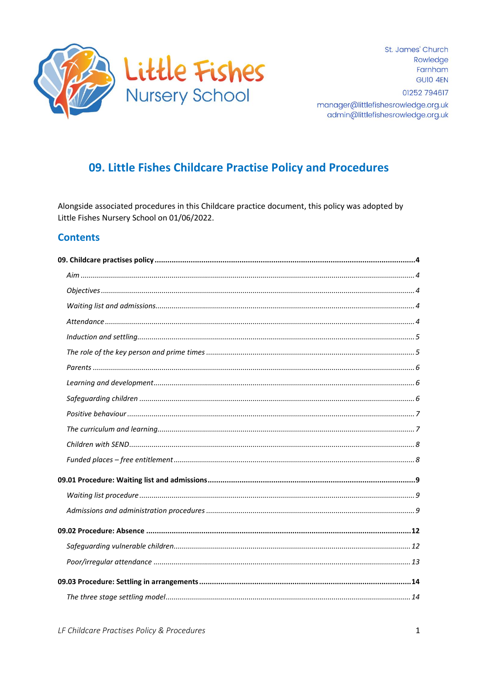

St. James' Church Rowledge Farnham GUIO 4FN

01252 794617

manager@littlefishesrowledge.org.uk admin@littlefishesrowledge.org.uk

# 09. Little Fishes Childcare Practise Policy and Procedures

Alongside associated procedures in this Childcare practice document, this policy was adopted by Little Fishes Nursery School on 01/06/2022.

### **Contents**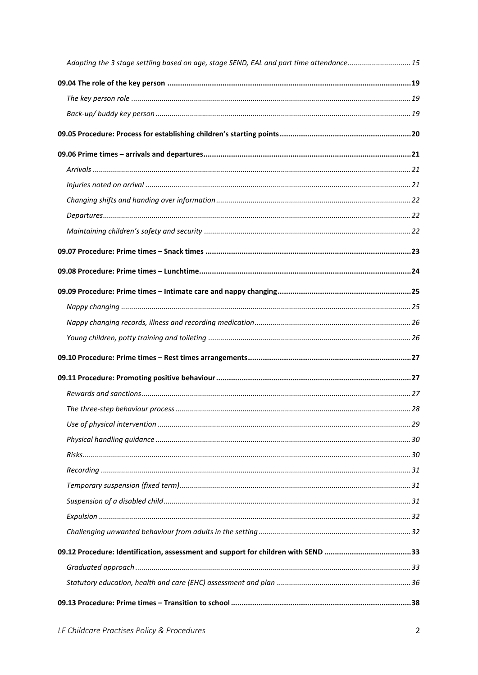| Adapting the 3 stage settling based on age, stage SEND, EAL and part time attendance15 |  |
|----------------------------------------------------------------------------------------|--|
|                                                                                        |  |
|                                                                                        |  |
|                                                                                        |  |
|                                                                                        |  |
|                                                                                        |  |
|                                                                                        |  |
|                                                                                        |  |
|                                                                                        |  |
|                                                                                        |  |
|                                                                                        |  |
|                                                                                        |  |
|                                                                                        |  |
|                                                                                        |  |
|                                                                                        |  |
|                                                                                        |  |
|                                                                                        |  |
|                                                                                        |  |
|                                                                                        |  |
|                                                                                        |  |
|                                                                                        |  |
|                                                                                        |  |
|                                                                                        |  |
|                                                                                        |  |
|                                                                                        |  |
|                                                                                        |  |
|                                                                                        |  |
|                                                                                        |  |
|                                                                                        |  |
|                                                                                        |  |
|                                                                                        |  |
|                                                                                        |  |
|                                                                                        |  |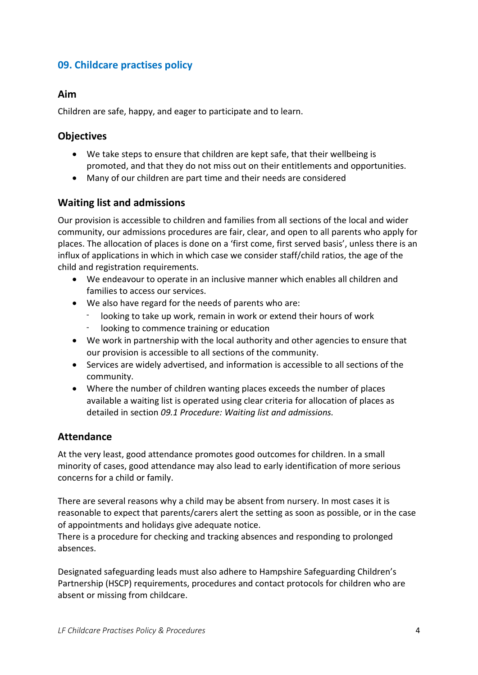## <span id="page-3-0"></span>**09. Childcare practises policy**

### <span id="page-3-1"></span>**Aim**

Children are safe, happy, and eager to participate and to learn.

### <span id="page-3-2"></span>**Objectives**

- We take steps to ensure that children are kept safe, that their wellbeing is promoted, and that they do not miss out on their entitlements and opportunities.
- Many of our children are part time and their needs are considered

### <span id="page-3-3"></span>**Waiting list and admissions**

Our provision is accessible to children and families from all sections of the local and wider community, our admissions procedures are fair, clear, and open to all parents who apply for places. The allocation of places is done on a 'first come, first served basis', unless there is an influx of applications in which in which case we consider staff/child ratios, the age of the child and registration requirements.

- We endeavour to operate in an inclusive manner which enables all children and families to access our services.
- We also have regard for the needs of parents who are:
	- looking to take up work, remain in work or extend their hours of work
	- looking to commence training or education
- We work in partnership with the local authority and other agencies to ensure that our provision is accessible to all sections of the community.
- Services are widely advertised, and information is accessible to all sections of the community.
- Where the number of children wanting places exceeds the number of places available a waiting list is operated using clear criteria for allocation of places as detailed in section *09.1 Procedure: Waiting list and admissions.*

#### <span id="page-3-4"></span>**Attendance**

At the very least, good attendance promotes good outcomes for children. In a small minority of cases, good attendance may also lead to early identification of more serious concerns for a child or family.

There are several reasons why a child may be absent from nursery. In most cases it is reasonable to expect that parents/carers alert the setting as soon as possible, or in the case of appointments and holidays give adequate notice.

There is a procedure for checking and tracking absences and responding to prolonged absences.

Designated safeguarding leads must also adhere to Hampshire Safeguarding Children's Partnership (HSCP) requirements, procedures and contact protocols for children who are absent or missing from childcare.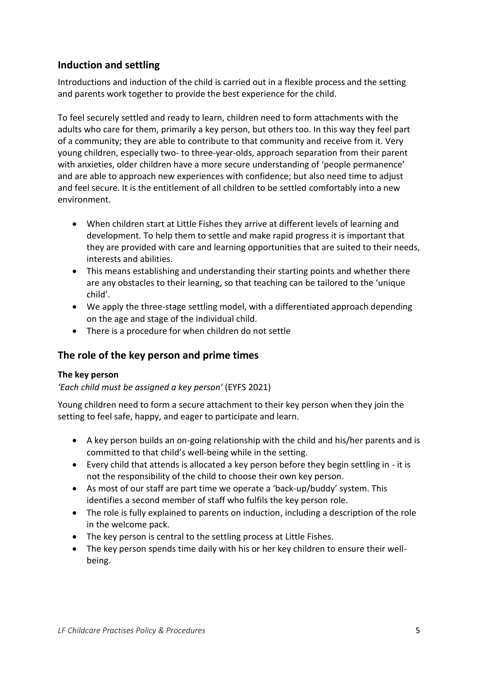## <span id="page-4-0"></span>**Induction and settling**

Introductions and induction of the child is carried out in a flexible process and the setting and parents work together to provide the best experience for the child.

To feel securely settled and ready to learn, children need to form attachments with the adults who care for them, primarily a key person, but others too. In this way they feel part of a community; they are able to contribute to that community and receive from it. Very young children, especially two- to three-year-olds, approach separation from their parent with anxieties, older children have a more secure understanding of 'people permanence' and are able to approach new experiences with confidence; but also need time to adjust and feel secure. It is the entitlement of all children to be settled comfortably into a new environment.

- When children start at Little Fishes they arrive at different levels of learning and development. To help them to settle and make rapid progress it is important that they are provided with care and learning opportunities that are suited to their needs, interests and abilities.
- This means establishing and understanding their starting points and whether there are any obstacles to their learning, so that teaching can be tailored to the 'unique child'.
- We apply the three-stage settling model, with a differentiated approach depending on the age and stage of the individual child.
- There is a procedure for when children do not settle

## <span id="page-4-1"></span>**The role of the key person and prime times**

#### **The key person**

#### *'Each child must be assigned a key person'* (EYFS 2021)

Young children need to form a secure attachment to their key person when they join the setting to feel safe, happy, and eager to participate and learn.

- A key person builds an on-going relationship with the child and his/her parents and is committed to that child's well-being while in the setting.
- Every child that attends is allocated a key person before they begin settling in it is not the responsibility of the child to choose their own key person.
- As most of our staff are part time we operate a 'back-up/buddy' system. This identifies a second member of staff who fulfils the key person role.
- The role is fully explained to parents on induction, including a description of the role in the welcome pack.
- The key person is central to the settling process at Little Fishes.
- The key person spends time daily with his or her key children to ensure their wellbeing.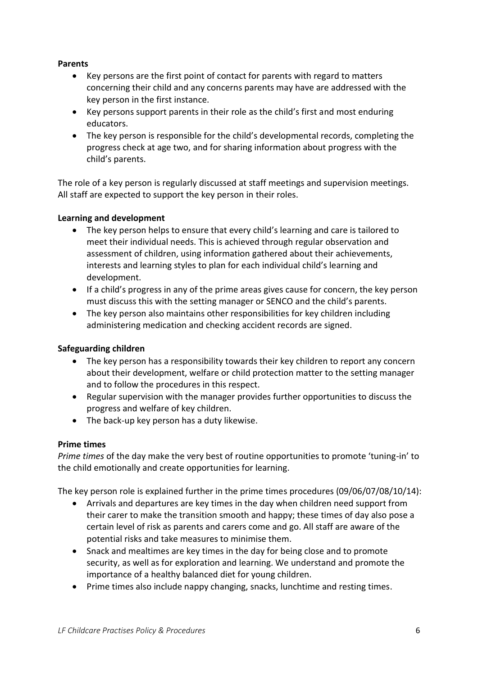#### <span id="page-5-0"></span>**Parents**

- Key persons are the first point of contact for parents with regard to matters concerning their child and any concerns parents may have are addressed with the key person in the first instance.
- Key persons support parents in their role as the child's first and most enduring educators.
- The key person is responsible for the child's developmental records, completing the progress check at age two, and for sharing information about progress with the child's parents.

The role of a key person is regularly discussed at staff meetings and supervision meetings. All staff are expected to support the key person in their roles.

#### <span id="page-5-1"></span>**Learning and development**

- The key person helps to ensure that every child's learning and care is tailored to meet their individual needs. This is achieved through regular observation and assessment of children, using information gathered about their achievements, interests and learning styles to plan for each individual child's learning and development.
- If a child's progress in any of the prime areas gives cause for concern, the key person must discuss this with the setting manager or SENCO and the child's parents.
- The key person also maintains other responsibilities for key children including administering medication and checking accident records are signed.

#### <span id="page-5-2"></span>**Safeguarding children**

- The key person has a responsibility towards their key children to report any concern about their development, welfare or child protection matter to the setting manager and to follow the procedures in this respect.
- Regular supervision with the manager provides further opportunities to discuss the progress and welfare of key children.
- The back-up key person has a duty likewise.

#### **Prime times**

*Prime times* of the day make the very best of routine opportunities to promote 'tuning-in' to the child emotionally and create opportunities for learning.

The key person role is explained further in the prime times procedures (09/06/07/08/10/14):

- Arrivals and departures are key times in the day when children need support from their carer to make the transition smooth and happy; these times of day also pose a certain level of risk as parents and carers come and go. All staff are aware of the potential risks and take measures to minimise them.
- Snack and mealtimes are key times in the day for being close and to promote security, as well as for exploration and learning. We understand and promote the importance of a healthy balanced diet for young children.
- Prime times also include nappy changing, snacks, lunchtime and resting times.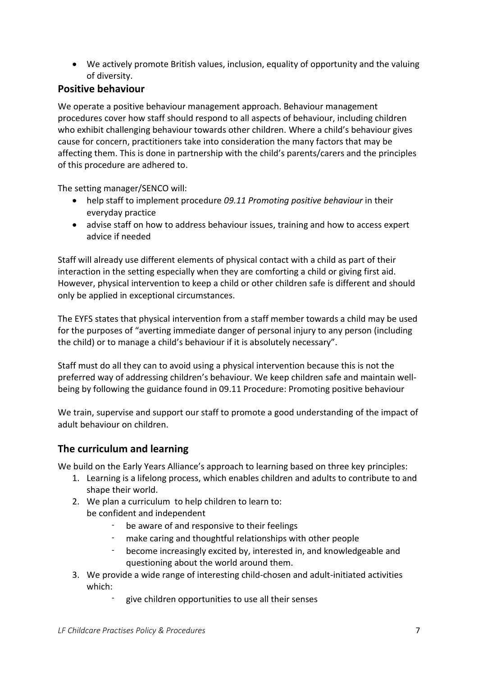• We actively promote British values, inclusion, equality of opportunity and the valuing of diversity.

### <span id="page-6-0"></span>**Positive behaviour**

We operate a positive behaviour management approach. Behaviour management procedures cover how staff should respond to all aspects of behaviour, including children who exhibit challenging behaviour towards other children. Where a child's behaviour gives cause for concern, practitioners take into consideration the many factors that may be affecting them. This is done in partnership with the child's parents/carers and the principles of this procedure are adhered to.

The setting manager/SENCO will:

- help staff to implement procedure *09.11 Promoting positive behaviour* in their everyday practice
- advise staff on how to address behaviour issues, training and how to access expert advice if needed

Staff will already use different elements of physical contact with a child as part of their interaction in the setting especially when they are comforting a child or giving first aid. However, physical intervention to keep a child or other children safe is different and should only be applied in exceptional circumstances.

The EYFS states that physical intervention from a staff member towards a child may be used for the purposes of "averting immediate danger of personal injury to any person (including the child) or to manage a child's behaviour if it is absolutely necessary".

Staff must do all they can to avoid using a physical intervention because this is not the preferred way of addressing children's behaviour. We keep children safe and maintain wellbeing by following the guidance found in 09.11 Procedure: Promoting positive behaviour

We train, supervise and support our staff to promote a good understanding of the impact of adult behaviour on children.

## <span id="page-6-1"></span>**The curriculum and learning**

We build on the Early Years Alliance's approach to learning based on three key principles:

- 1. Learning is a lifelong process, which enables children and adults to contribute to and shape their world.
- 2. We plan a curriculum to help children to learn to: be confident and independent
	- be aware of and responsive to their feelings
	- make caring and thoughtful relationships with other people
	- become increasingly excited by, interested in, and knowledgeable and questioning about the world around them.
- 3. We provide a wide range of interesting child-chosen and adult-initiated activities which:
	- give children opportunities to use all their senses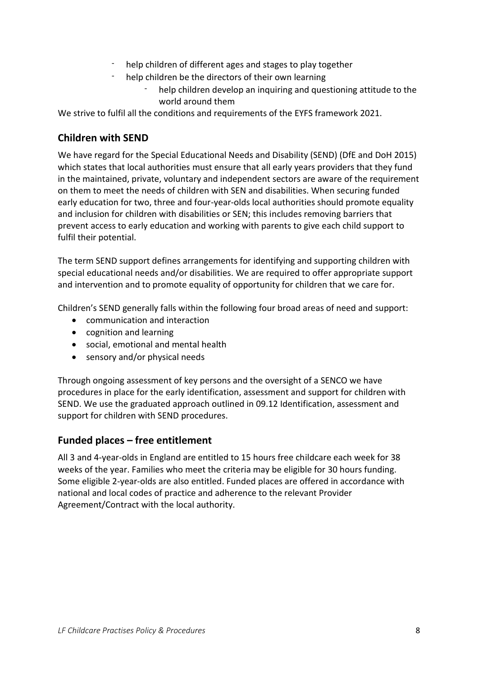- help children of different ages and stages to play together
- help children be the directors of their own learning
	- help children develop an inquiring and questioning attitude to the world around them

We strive to fulfil all the conditions and requirements of the EYFS framework 2021.

### <span id="page-7-0"></span>**Children with SEND**

We have regard for the Special Educational Needs and Disability (SEND) (DfE and DoH 2015) which states that local authorities must ensure that all early years providers that they fund in the maintained, private, voluntary and independent sectors are aware of the requirement on them to meet the needs of children with SEN and disabilities. When securing funded early education for two, three and four-year-olds local authorities should promote equality and inclusion for children with disabilities or SEN; this includes removing barriers that prevent access to early education and working with parents to give each child support to fulfil their potential.

The term SEND support defines arrangements for identifying and supporting children with special educational needs and/or disabilities. We are required to offer appropriate support and intervention and to promote equality of opportunity for children that we care for.

Children's SEND generally falls within the following four broad areas of need and support:

- communication and interaction
- cognition and learning
- social, emotional and mental health
- sensory and/or physical needs

Through ongoing assessment of key persons and the oversight of a SENCO we have procedures in place for the early identification, assessment and support for children with SEND. We use the graduated approach outlined in 09.12 Identification, assessment and support for children with SEND procedures.

## <span id="page-7-1"></span>**Funded places – free entitlement**

All 3 and 4-year-olds in England are entitled to 15 hours free childcare each week for 38 weeks of the year. Families who meet the criteria may be eligible for 30 hours funding. Some eligible 2-year-olds are also entitled. Funded places are offered in accordance with national and local codes of practice and adherence to the relevant Provider Agreement/Contract with the local authority.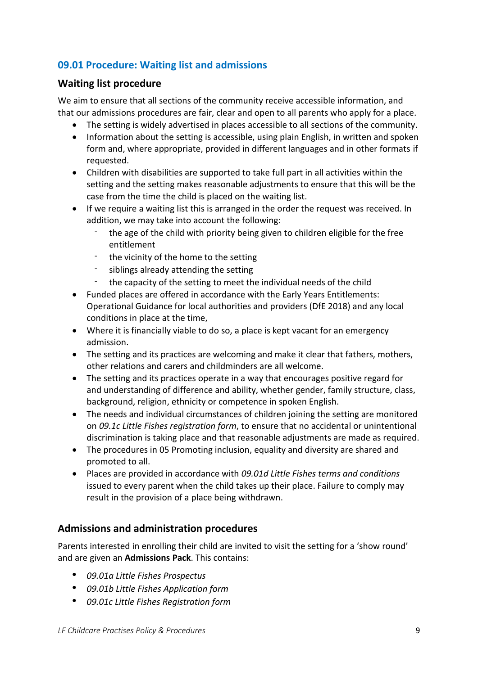## <span id="page-8-0"></span>**09.01 Procedure: Waiting list and admissions**

### <span id="page-8-1"></span>**Waiting list procedure**

We aim to ensure that all sections of the community receive accessible information, and that our admissions procedures are fair, clear and open to all parents who apply for a place.

- The setting is widely advertised in places accessible to all sections of the community.
- Information about the setting is accessible, using plain English, in written and spoken form and, where appropriate, provided in different languages and in other formats if requested.
- Children with disabilities are supported to take full part in all activities within the setting and the setting makes reasonable adjustments to ensure that this will be the case from the time the child is placed on the waiting list.
- If we require a waiting list this is arranged in the order the request was received. In addition, we may take into account the following:
	- the age of the child with priority being given to children eligible for the free entitlement
	- the vicinity of the home to the setting
	- siblings already attending the setting
	- the capacity of the setting to meet the individual needs of the child
- Funded places are offered in accordance with the Early Years Entitlements: Operational Guidance for local authorities and providers (DfE 2018) and any local conditions in place at the time,
- Where it is financially viable to do so, a place is kept vacant for an emergency admission.
- The setting and its practices are welcoming and make it clear that fathers, mothers, other relations and carers and childminders are all welcome.
- The setting and its practices operate in a way that encourages positive regard for and understanding of difference and ability, whether gender, family structure, class, background, religion, ethnicity or competence in spoken English.
- The needs and individual circumstances of children joining the setting are monitored on *09.1c Little Fishes registration form*, to ensure that no accidental or unintentional discrimination is taking place and that reasonable adjustments are made as required.
- The procedures in 05 Promoting inclusion, equality and diversity are shared and promoted to all.
- Places are provided in accordance with *09.01d Little Fishes terms and conditions* issued to every parent when the child takes up their place. Failure to comply may result in the provision of a place being withdrawn.

## <span id="page-8-2"></span>**Admissions and administration procedures**

Parents interested in enrolling their child are invited to visit the setting for a 'show round' and are given an **Admissions Pack**. This contains:

- *09.01a Little Fishes Prospectus*
- *09.01b Little Fishes Application form*
- *09.01c Little Fishes Registration form*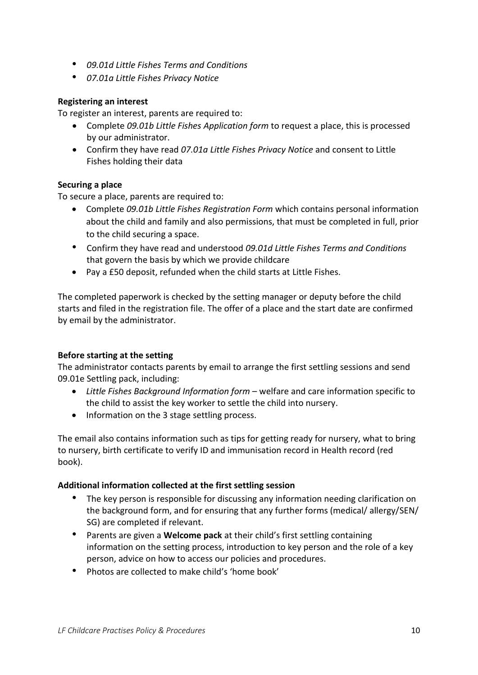- *09.01d Little Fishes Terms and Conditions*
- *07.01a Little Fishes Privacy Notice*

#### **Registering an interest**

To register an interest, parents are required to:

- Complete *09.01b Little Fishes Application form* to request a place, this is processed by our administrator.
- Confirm they have read *07.01a Little Fishes Privacy Notice* and consent to Little Fishes holding their data

### **Securing a place**

To secure a place, parents are required to:

- Complete *09.01b Little Fishes Registration Form* which contains personal information about the child and family and also permissions, that must be completed in full, prior to the child securing a space.
- Confirm they have read and understood *09.01d Little Fishes Terms and Conditions* that govern the basis by which we provide childcare
- Pay a £50 deposit, refunded when the child starts at Little Fishes.

The completed paperwork is checked by the setting manager or deputy before the child starts and filed in the registration file. The offer of a place and the start date are confirmed by email by the administrator.

#### **Before starting at the setting**

The administrator contacts parents by email to arrange the first settling sessions and send 09.01e Settling pack, including:

- *Little Fishes Background Information form* welfare and care information specific to the child to assist the key worker to settle the child into nursery.
- Information on the 3 stage settling process.

The email also contains information such as tips for getting ready for nursery, what to bring to nursery, birth certificate to verify ID and immunisation record in Health record (red book).

#### **Additional information collected at the first settling session**

- The key person is responsible for discussing any information needing clarification on the background form, and for ensuring that any further forms (medical/ allergy/SEN/ SG) are completed if relevant.
- Parents are given a **Welcome pack** at their child's first settling containing information on the setting process, introduction to key person and the role of a key person, advice on how to access our policies and procedures.
- Photos are collected to make child's 'home book'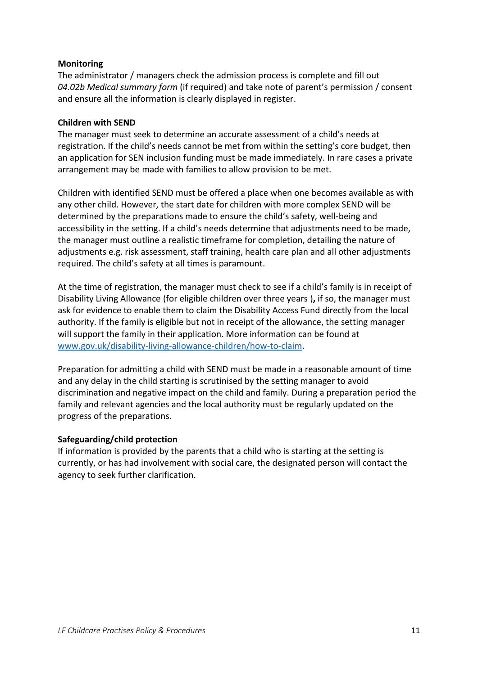#### **Monitoring**

The administrator / managers check the admission process is complete and fill out *04.02b Medical summary form* (if required) and take note of parent's permission / consent and ensure all the information is clearly displayed in register.

#### **Children with SEND**

The manager must seek to determine an accurate assessment of a child's needs at registration. If the child's needs cannot be met from within the setting's core budget, then an application for SEN inclusion funding must be made immediately. In rare cases a private arrangement may be made with families to allow provision to be met.

Children with identified SEND must be offered a place when one becomes available as with any other child. However, the start date for children with more complex SEND will be determined by the preparations made to ensure the child's safety, well-being and accessibility in the setting. If a child's needs determine that adjustments need to be made, the manager must outline a realistic timeframe for completion, detailing the nature of adjustments e.g. risk assessment, staff training, health care plan and all other adjustments required. The child's safety at all times is paramount.

At the time of registration, the manager must check to see if a child's family is in receipt of Disability Living Allowance (for eligible children over three years )**,** if so, the manager must ask for evidence to enable them to claim the Disability Access Fund directly from the local authority. If the family is eligible but not in receipt of the allowance, the setting manager will support the family in their application. More information can be found at [www.gov.uk/disability-living-allowance-children/how-to-claim.](http://www.gov.uk/disability-living-allowance-children/how-to-claim)

Preparation for admitting a child with SEND must be made in a reasonable amount of time and any delay in the child starting is scrutinised by the setting manager to avoid discrimination and negative impact on the child and family. During a preparation period the family and relevant agencies and the local authority must be regularly updated on the progress of the preparations.

#### **Safeguarding/child protection**

If information is provided by the parents that a child who is starting at the setting is currently, or has had involvement with social care, the designated person will contact the agency to seek further clarification.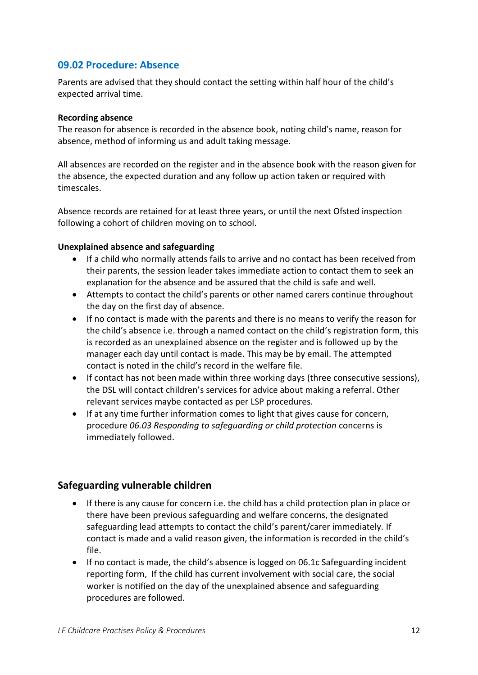### <span id="page-11-0"></span>**09.02 Procedure: Absence**

Parents are advised that they should contact the setting within half hour of the child's expected arrival time.

#### **Recording absence**

The reason for absence is recorded in the absence book, noting child's name, reason for absence, method of informing us and adult taking message.

All absences are recorded on the register and in the absence book with the reason given for the absence, the expected duration and any follow up action taken or required with timescales.

Absence records are retained for at least three years, or until the next Ofsted inspection following a cohort of children moving on to school.

#### **Unexplained absence and safeguarding**

- If a child who normally attends fails to arrive and no contact has been received from their parents, the session leader takes immediate action to contact them to seek an explanation for the absence and be assured that the child is safe and well.
- Attempts to contact the child's parents or other named carers continue throughout the day on the first day of absence.
- If no contact is made with the parents and there is no means to verify the reason for the child's absence i.e. through a named contact on the child's registration form, this is recorded as an unexplained absence on the register and is followed up by the manager each day until contact is made. This may be by email. The attempted contact is noted in the child's record in the welfare file.
- If contact has not been made within three working days (three consecutive sessions), the DSL will contact children's services for advice about making a referral. Other relevant services maybe contacted as per LSP procedures.
- If at any time further information comes to light that gives cause for concern, procedure *06.03 Responding to safeguarding or child protection* concerns is immediately followed.

### <span id="page-11-1"></span>**Safeguarding vulnerable children**

- If there is any cause for concern i.e. the child has a child protection plan in place or there have been previous safeguarding and welfare concerns, the designated safeguarding lead attempts to contact the child's parent/carer immediately. If contact is made and a valid reason given, the information is recorded in the child's file.
- If no contact is made, the child's absence is logged on 06.1c Safeguarding incident reporting form, If the child has current involvement with social care, the social worker is notified on the day of the unexplained absence and safeguarding procedures are followed.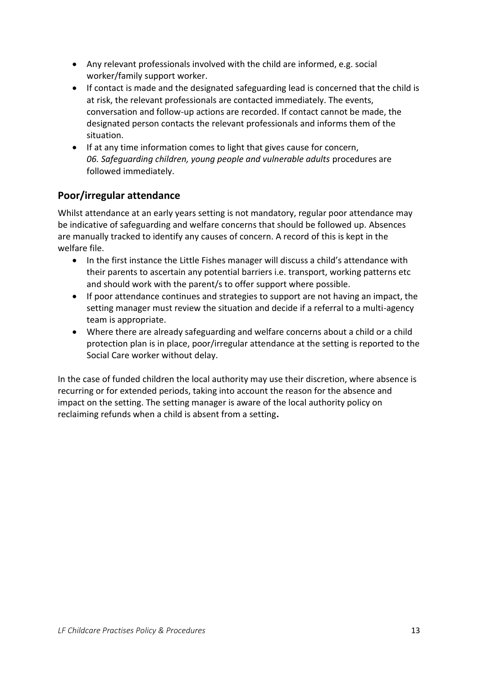- Any relevant professionals involved with the child are informed, e.g. social worker/family support worker.
- If contact is made and the designated safeguarding lead is concerned that the child is at risk, the relevant professionals are contacted immediately. The events, conversation and follow-up actions are recorded. If contact cannot be made, the designated person contacts the relevant professionals and informs them of the situation.
- If at any time information comes to light that gives cause for concern, *06. Safeguarding children, young people and vulnerable adults* procedures are followed immediately.

## <span id="page-12-0"></span>**Poor/irregular attendance**

Whilst attendance at an early years setting is not mandatory, regular poor attendance may be indicative of safeguarding and welfare concerns that should be followed up. Absences are manually tracked to identify any causes of concern. A record of this is kept in the welfare file.

- In the first instance the Little Fishes manager will discuss a child's attendance with their parents to ascertain any potential barriers i.e. transport, working patterns etc and should work with the parent/s to offer support where possible.
- If poor attendance continues and strategies to support are not having an impact, the setting manager must review the situation and decide if a referral to a multi-agency team is appropriate.
- Where there are already safeguarding and welfare concerns about a child or a child protection plan is in place, poor/irregular attendance at the setting is reported to the Social Care worker without delay.

In the case of funded children the local authority may use their discretion, where absence is recurring or for extended periods, taking into account the reason for the absence and impact on the setting. The setting manager is aware of the local authority policy on reclaiming refunds when a child is absent from a setting**.**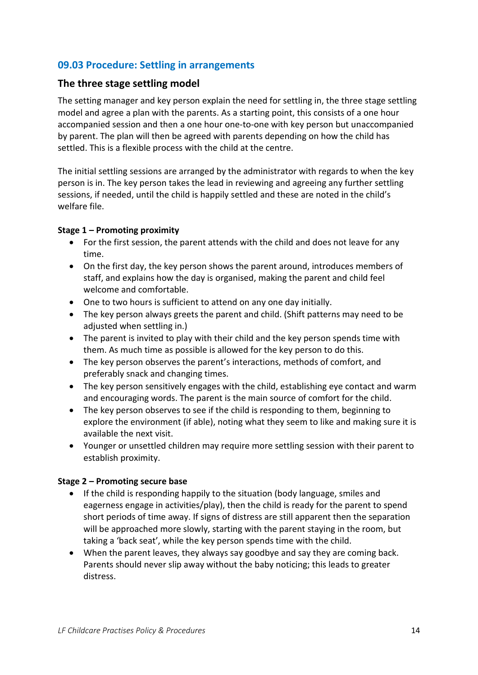## <span id="page-13-0"></span>**09.03 Procedure: Settling in arrangements**

#### <span id="page-13-1"></span>**The three stage settling model**

The setting manager and key person explain the need for settling in, the three stage settling model and agree a plan with the parents. As a starting point, this consists of a one hour accompanied session and then a one hour one-to-one with key person but unaccompanied by parent. The plan will then be agreed with parents depending on how the child has settled. This is a flexible process with the child at the centre.

The initial settling sessions are arranged by the administrator with regards to when the key person is in. The key person takes the lead in reviewing and agreeing any further settling sessions, if needed, until the child is happily settled and these are noted in the child's welfare file.

#### **Stage 1 – Promoting proximity**

- For the first session, the parent attends with the child and does not leave for any time.
- On the first day, the key person shows the parent around, introduces members of staff, and explains how the day is organised, making the parent and child feel welcome and comfortable.
- One to two hours is sufficient to attend on any one day initially.
- The key person always greets the parent and child. (Shift patterns may need to be adjusted when settling in.)
- The parent is invited to play with their child and the key person spends time with them. As much time as possible is allowed for the key person to do this.
- The key person observes the parent's interactions, methods of comfort, and preferably snack and changing times.
- The key person sensitively engages with the child, establishing eye contact and warm and encouraging words. The parent is the main source of comfort for the child.
- The key person observes to see if the child is responding to them, beginning to explore the environment (if able), noting what they seem to like and making sure it is available the next visit.
- Younger or unsettled children may require more settling session with their parent to establish proximity.

#### **Stage 2 – Promoting secure base**

- If the child is responding happily to the situation (body language, smiles and eagerness engage in activities/play), then the child is ready for the parent to spend short periods of time away. If signs of distress are still apparent then the separation will be approached more slowly, starting with the parent staying in the room, but taking a 'back seat', while the key person spends time with the child.
- When the parent leaves, they always say goodbye and say they are coming back. Parents should never slip away without the baby noticing; this leads to greater distress.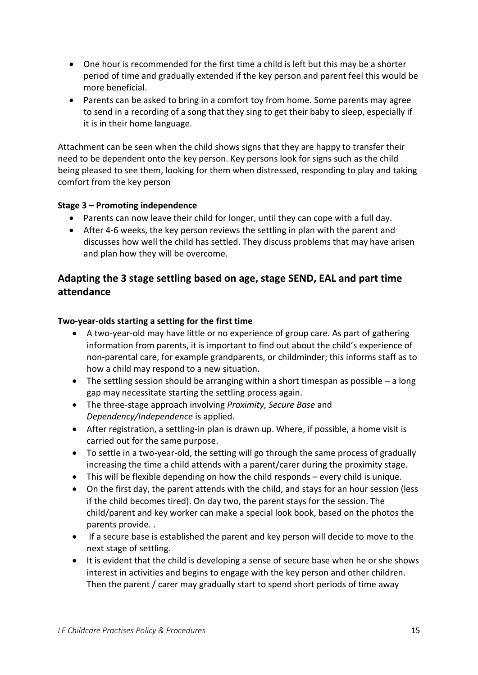- One hour is recommended for the first time a child is left but this may be a shorter period of time and gradually extended if the key person and parent feel this would be more beneficial.
- Parents can be asked to bring in a comfort toy from home. Some parents may agree to send in a recording of a song that they sing to get their baby to sleep, especially if it is in their home language.

Attachment can be seen when the child shows signs that they are happy to transfer their need to be dependent onto the key person. Key persons look for signs such as the child being pleased to see them, looking for them when distressed, responding to play and taking comfort from the key person

### **Stage 3 – Promoting independence**

- Parents can now leave their child for longer, until they can cope with a full day.
- After 4-6 weeks, the key person reviews the settling in plan with the parent and discusses how well the child has settled. They discuss problems that may have arisen and plan how they will be overcome.

## <span id="page-14-0"></span>**Adapting the 3 stage settling based on age, stage SEND, EAL and part time attendance**

#### **Two-year-olds starting a setting for the first time**

- A two-year-old may have little or no experience of group care. As part of gathering information from parents, it is important to find out about the child's experience of non-parental care, for example grandparents, or childminder; this informs staff as to how a child may respond to a new situation.
- The settling session should be arranging within a short timespan as possible  $-$  a long gap may necessitate starting the settling process again.
- The three-stage approach involving *Proximity, Secure Base* and *Dependency/Independence* is applied.
- After registration, a settling-in plan is drawn up. Where, if possible, a home visit is carried out for the same purpose.
- To settle in a two-year-old, the setting will go through the same process of gradually increasing the time a child attends with a parent/carer during the proximity stage.
- This will be flexible depending on how the child responds every child is unique.
- On the first day, the parent attends with the child, and stays for an hour session (less if the child becomes tired). On day two, the parent stays for the session. The child/parent and key worker can make a special look book, based on the photos the parents provide. .
- If a secure base is established the parent and key person will decide to move to the next stage of settling.
- It is evident that the child is developing a sense of secure base when he or she shows interest in activities and begins to engage with the key person and other children. Then the parent / carer may gradually start to spend short periods of time away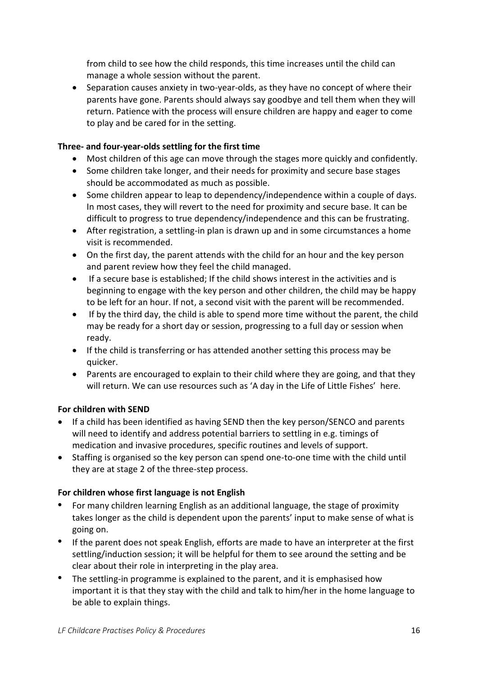from child to see how the child responds, this time increases until the child can manage a whole session without the parent.

• Separation causes anxiety in two-year-olds, as they have no concept of where their parents have gone. Parents should always say goodbye and tell them when they will return. Patience with the process will ensure children are happy and eager to come to play and be cared for in the setting.

### **Three- and four-year-olds settling for the first time**

- Most children of this age can move through the stages more quickly and confidently.
- Some children take longer, and their needs for proximity and secure base stages should be accommodated as much as possible.
- Some children appear to leap to dependency/independence within a couple of days. In most cases, they will revert to the need for proximity and secure base. It can be difficult to progress to true dependency/independence and this can be frustrating.
- After registration, a settling-in plan is drawn up and in some circumstances a home visit is recommended.
- On the first day, the parent attends with the child for an hour and the key person and parent review how they feel the child managed.
- If a secure base is established; If the child shows interest in the activities and is beginning to engage with the key person and other children, the child may be happy to be left for an hour. If not, a second visit with the parent will be recommended.
- If by the third day, the child is able to spend more time without the parent, the child may be ready for a short day or session, progressing to a full day or session when ready.
- If the child is transferring or has attended another setting this process may be quicker.
- Parents are encouraged to explain to their child where they are going, and that they will return. We can use resources such as 'A day in the Life of Little Fishes' here.

### **For children with SEND**

- If a child has been identified as having SEND then the key person/SENCO and parents will need to identify and address potential barriers to settling in e.g. timings of medication and invasive procedures, specific routines and levels of support.
- Staffing is organised so the key person can spend one-to-one time with the child until they are at stage 2 of the three-step process.

### **For children whose first language is not English**

- For many children learning English as an additional language, the stage of proximity takes longer as the child is dependent upon the parents' input to make sense of what is going on.
- If the parent does not speak English, efforts are made to have an interpreter at the first settling/induction session; it will be helpful for them to see around the setting and be clear about their role in interpreting in the play area.
- The settling-in programme is explained to the parent, and it is emphasised how important it is that they stay with the child and talk to him/her in the home language to be able to explain things.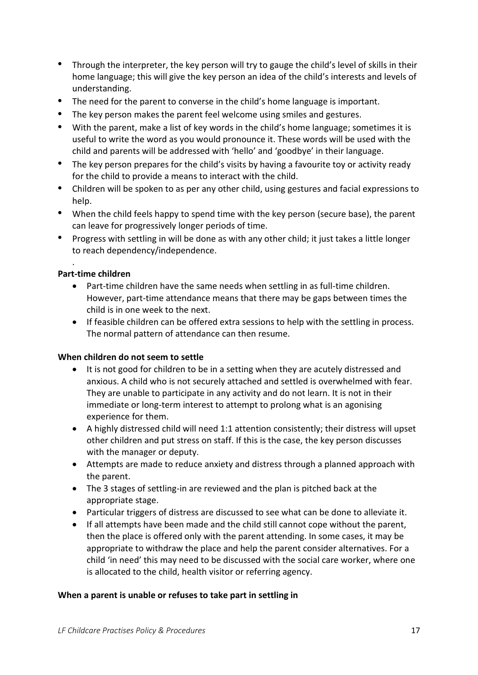- Through the interpreter, the key person will try to gauge the child's level of skills in their home language; this will give the key person an idea of the child's interests and levels of understanding.
- The need for the parent to converse in the child's home language is important.
- The key person makes the parent feel welcome using smiles and gestures.
- With the parent, make a list of key words in the child's home language; sometimes it is useful to write the word as you would pronounce it. These words will be used with the child and parents will be addressed with 'hello' and 'goodbye' in their language.
- The key person prepares for the child's visits by having a favourite toy or activity ready for the child to provide a means to interact with the child.
- Children will be spoken to as per any other child, using gestures and facial expressions to help.
- When the child feels happy to spend time with the key person (secure base), the parent can leave for progressively longer periods of time.
- Progress with settling in will be done as with any other child; it just takes a little longer to reach dependency/independence.

#### **Part-time children**

.

- Part-time children have the same needs when settling in as full-time children. However, part-time attendance means that there may be gaps between times the child is in one week to the next.
- If feasible children can be offered extra sessions to help with the settling in process. The normal pattern of attendance can then resume.

#### **When children do not seem to settle**

- It is not good for children to be in a setting when they are acutely distressed and anxious. A child who is not securely attached and settled is overwhelmed with fear. They are unable to participate in any activity and do not learn. It is not in their immediate or long-term interest to attempt to prolong what is an agonising experience for them.
- A highly distressed child will need 1:1 attention consistently; their distress will upset other children and put stress on staff. If this is the case, the key person discusses with the manager or deputy.
- Attempts are made to reduce anxiety and distress through a planned approach with the parent.
- The 3 stages of settling-in are reviewed and the plan is pitched back at the appropriate stage.
- Particular triggers of distress are discussed to see what can be done to alleviate it.
- If all attempts have been made and the child still cannot cope without the parent, then the place is offered only with the parent attending. In some cases, it may be appropriate to withdraw the place and help the parent consider alternatives. For a child 'in need' this may need to be discussed with the social care worker, where one is allocated to the child, health visitor or referring agency.

#### **When a parent is unable or refuses to take part in settling in**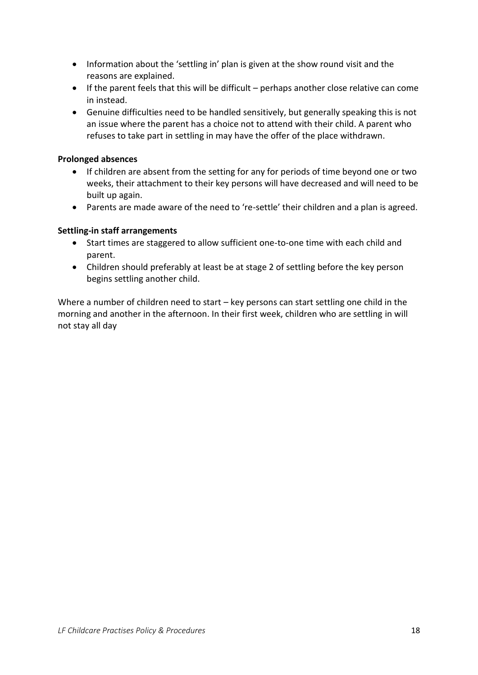- Information about the 'settling in' plan is given at the show round visit and the reasons are explained.
- If the parent feels that this will be difficult perhaps another close relative can come in instead.
- Genuine difficulties need to be handled sensitively, but generally speaking this is not an issue where the parent has a choice not to attend with their child. A parent who refuses to take part in settling in may have the offer of the place withdrawn.

#### **Prolonged absences**

- If children are absent from the setting for any for periods of time beyond one or two weeks, their attachment to their key persons will have decreased and will need to be built up again.
- Parents are made aware of the need to 're-settle' their children and a plan is agreed.

#### **Settling-in staff arrangements**

- Start times are staggered to allow sufficient one-to-one time with each child and parent.
- Children should preferably at least be at stage 2 of settling before the key person begins settling another child.

Where a number of children need to start – key persons can start settling one child in the morning and another in the afternoon. In their first week, children who are settling in will not stay all day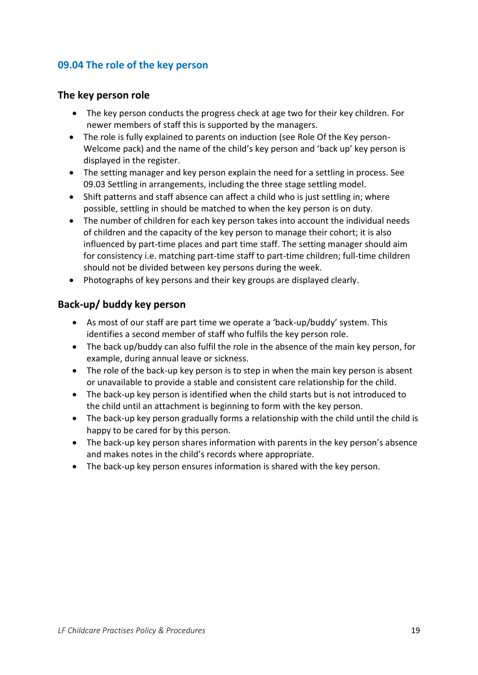## <span id="page-18-0"></span>**09.04 The role of the key person**

### <span id="page-18-1"></span>**The key person role**

- The key person conducts the progress check at age two for their key children. For newer members of staff this is supported by the managers.
- The role is fully explained to parents on induction (see Role Of the Key person-Welcome pack) and the name of the child's key person and 'back up' key person is displayed in the register.
- The setting manager and key person explain the need for a settling in process. See 09.03 Settling in arrangements, including the three stage settling model.
- Shift patterns and staff absence can affect a child who is just settling in; where possible, settling in should be matched to when the key person is on duty.
- The number of children for each key person takes into account the individual needs of children and the capacity of the key person to manage their cohort; it is also influenced by part-time places and part time staff. The setting manager should aim for consistency i.e. matching part-time staff to part-time children; full-time children should not be divided between key persons during the week.
- Photographs of key persons and their key groups are displayed clearly.

### <span id="page-18-2"></span>**Back-up/ buddy key person**

- As most of our staff are part time we operate a 'back-up/buddy' system. This identifies a second member of staff who fulfils the key person role.
- The back up/buddy can also fulfil the role in the absence of the main key person, for example, during annual leave or sickness.
- The role of the back-up key person is to step in when the main key person is absent or unavailable to provide a stable and consistent care relationship for the child.
- The back-up key person is identified when the child starts but is not introduced to the child until an attachment is beginning to form with the key person.
- The back-up key person gradually forms a relationship with the child until the child is happy to be cared for by this person.
- The back-up key person shares information with parents in the key person's absence and makes notes in the child's records where appropriate.
- The back-up key person ensures information is shared with the key person.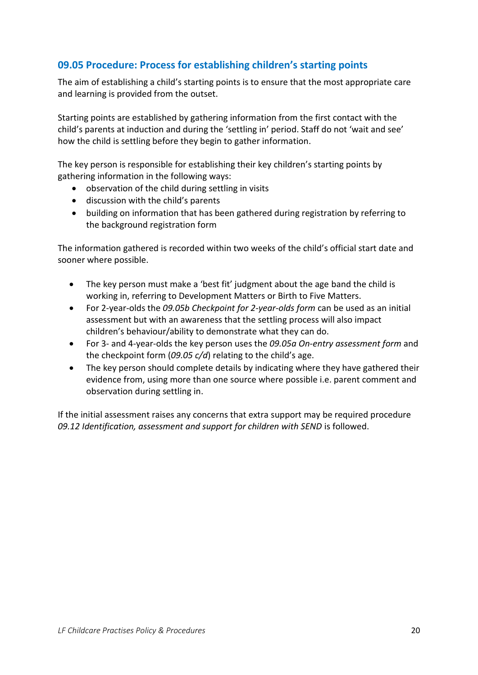## <span id="page-19-0"></span>**09.05 Procedure: Process for establishing children's starting points**

The aim of establishing a child's starting points is to ensure that the most appropriate care and learning is provided from the outset.

Starting points are established by gathering information from the first contact with the child's parents at induction and during the 'settling in' period. Staff do not 'wait and see' how the child is settling before they begin to gather information.

The key person is responsible for establishing their key children's starting points by gathering information in the following ways:

- observation of the child during settling in visits
- discussion with the child's parents
- building on information that has been gathered during registration by referring to the background registration form

The information gathered is recorded within two weeks of the child's official start date and sooner where possible.

- The key person must make a 'best fit' judgment about the age band the child is working in, referring to Development Matters or Birth to Five Matters.
- For 2-year-olds the *09.05b Checkpoint for 2-year-olds form* can be used as an initial assessment but with an awareness that the settling process will also impact children's behaviour/ability to demonstrate what they can do.
- For 3- and 4-year-olds the key person uses the *09.05a On-entry assessment form* and the checkpoint form (*09.05 c/d*) relating to the child's age.
- The key person should complete details by indicating where they have gathered their evidence from, using more than one source where possible i.e. parent comment and observation during settling in.

If the initial assessment raises any concerns that extra support may be required procedure *09.12 Identification, assessment and support for children with SEND* is followed.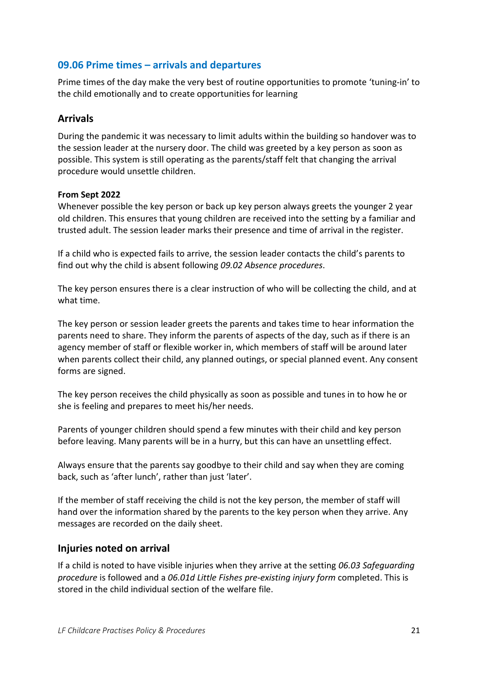### <span id="page-20-0"></span>**09.06 Prime times – arrivals and departures**

Prime times of the day make the very best of routine opportunities to promote 'tuning-in' to the child emotionally and to create opportunities for learning

### <span id="page-20-1"></span>**Arrivals**

During the pandemic it was necessary to limit adults within the building so handover was to the session leader at the nursery door. The child was greeted by a key person as soon as possible. This system is still operating as the parents/staff felt that changing the arrival procedure would unsettle children.

#### **From Sept 2022**

Whenever possible the key person or back up key person always greets the younger 2 year old children. This ensures that young children are received into the setting by a familiar and trusted adult. The session leader marks their presence and time of arrival in the register.

If a child who is expected fails to arrive, the session leader contacts the child's parents to find out why the child is absent following *09.02 Absence procedures*.

The key person ensures there is a clear instruction of who will be collecting the child, and at what time.

The key person or session leader greets the parents and takes time to hear information the parents need to share. They inform the parents of aspects of the day, such as if there is an agency member of staff or flexible worker in, which members of staff will be around later when parents collect their child, any planned outings, or special planned event. Any consent forms are signed.

The key person receives the child physically as soon as possible and tunes in to how he or she is feeling and prepares to meet his/her needs.

Parents of younger children should spend a few minutes with their child and key person before leaving. Many parents will be in a hurry, but this can have an unsettling effect.

Always ensure that the parents say goodbye to their child and say when they are coming back, such as 'after lunch', rather than just 'later'.

If the member of staff receiving the child is not the key person, the member of staff will hand over the information shared by the parents to the key person when they arrive. Any messages are recorded on the daily sheet.

### <span id="page-20-2"></span>**Injuries noted on arrival**

If a child is noted to have visible injuries when they arrive at the setting *06.03 Safeguarding procedure* is followed and a *06.01d Little Fishes pre-existing injury form* completed. This is stored in the child individual section of the welfare file.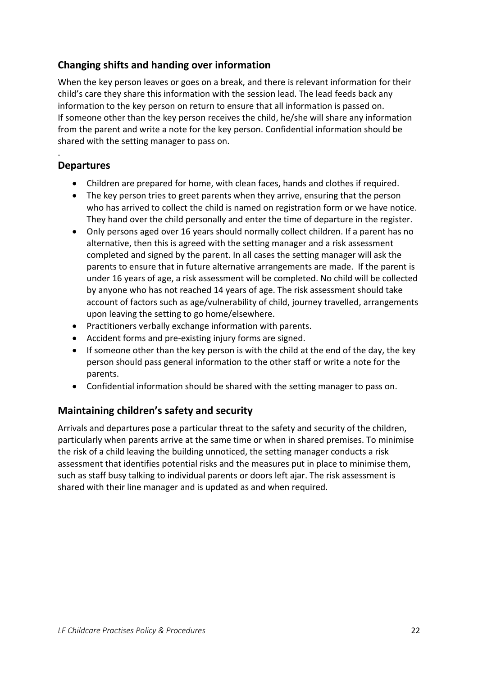## <span id="page-21-0"></span>**Changing shifts and handing over information**

When the key person leaves or goes on a break, and there is relevant information for their child's care they share this information with the session lead. The lead feeds back any information to the key person on return to ensure that all information is passed on. If someone other than the key person receives the child, he/she will share any information from the parent and write a note for the key person. Confidential information should be shared with the setting manager to pass on.

## <span id="page-21-1"></span>**Departures**

.

- Children are prepared for home, with clean faces, hands and clothes if required.
- The key person tries to greet parents when they arrive, ensuring that the person who has arrived to collect the child is named on registration form or we have notice. They hand over the child personally and enter the time of departure in the register.
- Only persons aged over 16 years should normally collect children. If a parent has no alternative, then this is agreed with the setting manager and a risk assessment completed and signed by the parent. In all cases the setting manager will ask the parents to ensure that in future alternative arrangements are made. If the parent is under 16 years of age, a risk assessment will be completed. No child will be collected by anyone who has not reached 14 years of age. The risk assessment should take account of factors such as age/vulnerability of child, journey travelled, arrangements upon leaving the setting to go home/elsewhere.
- Practitioners verbally exchange information with parents.
- Accident forms and pre-existing injury forms are signed.
- If someone other than the key person is with the child at the end of the day, the key person should pass general information to the other staff or write a note for the parents.
- Confidential information should be shared with the setting manager to pass on.

## <span id="page-21-2"></span>**Maintaining children's safety and security**

Arrivals and departures pose a particular threat to the safety and security of the children, particularly when parents arrive at the same time or when in shared premises. To minimise the risk of a child leaving the building unnoticed, the setting manager conducts a risk assessment that identifies potential risks and the measures put in place to minimise them, such as staff busy talking to individual parents or doors left ajar. The risk assessment is shared with their line manager and is updated as and when required.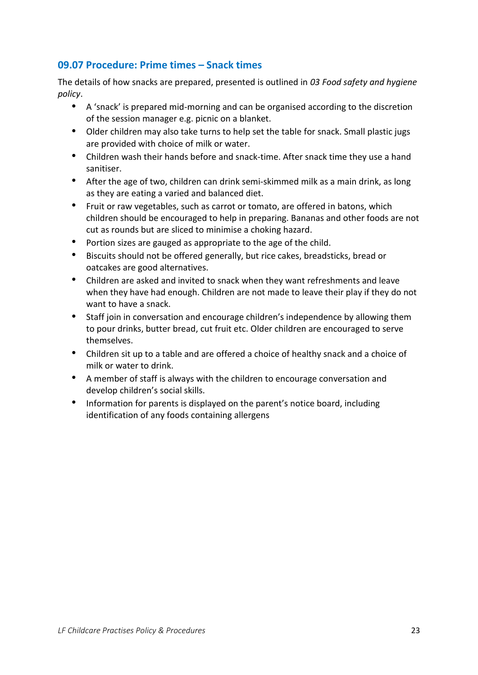## <span id="page-22-0"></span>**09.07 Procedure: Prime times – Snack times**

The details of how snacks are prepared, presented is outlined in *03 Food safety and hygiene policy*.

- A 'snack' is prepared mid-morning and can be organised according to the discretion of the session manager e.g. picnic on a blanket.
- Older children may also take turns to help set the table for snack. Small plastic jugs are provided with choice of milk or water.
- Children wash their hands before and snack-time. After snack time they use a hand sanitiser.
- After the age of two, children can drink semi-skimmed milk as a main drink, as long as they are eating a varied and balanced diet.
- Fruit or raw vegetables, such as carrot or tomato, are offered in batons, which children should be encouraged to help in preparing. Bananas and other foods are not cut as rounds but are sliced to minimise a choking hazard.
- Portion sizes are gauged as appropriate to the age of the child.
- Biscuits should not be offered generally, but rice cakes, breadsticks, bread or oatcakes are good alternatives.
- Children are asked and invited to snack when they want refreshments and leave when they have had enough. Children are not made to leave their play if they do not want to have a snack.
- Staff join in conversation and encourage children's independence by allowing them to pour drinks, butter bread, cut fruit etc. Older children are encouraged to serve themselves.
- Children sit up to a table and are offered a choice of healthy snack and a choice of milk or water to drink.
- A member of staff is always with the children to encourage conversation and develop children's social skills.
- Information for parents is displayed on the parent's notice board, including identification of any foods containing allergens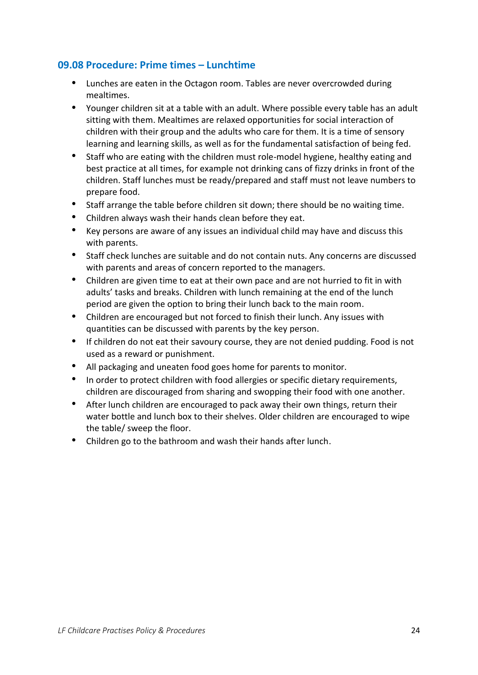### <span id="page-23-0"></span>**09.08 Procedure: Prime times – Lunchtime**

- Lunches are eaten in the Octagon room. Tables are never overcrowded during mealtimes.
- Younger children sit at a table with an adult. Where possible every table has an adult sitting with them. Mealtimes are relaxed opportunities for social interaction of children with their group and the adults who care for them. It is a time of sensory learning and learning skills, as well as for the fundamental satisfaction of being fed.
- Staff who are eating with the children must role-model hygiene, healthy eating and best practice at all times, for example not drinking cans of fizzy drinks in front of the children. Staff lunches must be ready/prepared and staff must not leave numbers to prepare food.
- Staff arrange the table before children sit down; there should be no waiting time.
- Children always wash their hands clean before they eat.
- Key persons are aware of any issues an individual child may have and discuss this with parents.
- Staff check lunches are suitable and do not contain nuts. Any concerns are discussed with parents and areas of concern reported to the managers.
- Children are given time to eat at their own pace and are not hurried to fit in with adults' tasks and breaks. Children with lunch remaining at the end of the lunch period are given the option to bring their lunch back to the main room.
- Children are encouraged but not forced to finish their lunch. Any issues with quantities can be discussed with parents by the key person.
- If children do not eat their savoury course, they are not denied pudding. Food is not used as a reward or punishment.
- All packaging and uneaten food goes home for parents to monitor.
- In order to protect children with food allergies or specific dietary requirements, children are discouraged from sharing and swopping their food with one another.
- After lunch children are encouraged to pack away their own things, return their water bottle and lunch box to their shelves. Older children are encouraged to wipe the table/ sweep the floor.
- Children go to the bathroom and wash their hands after lunch.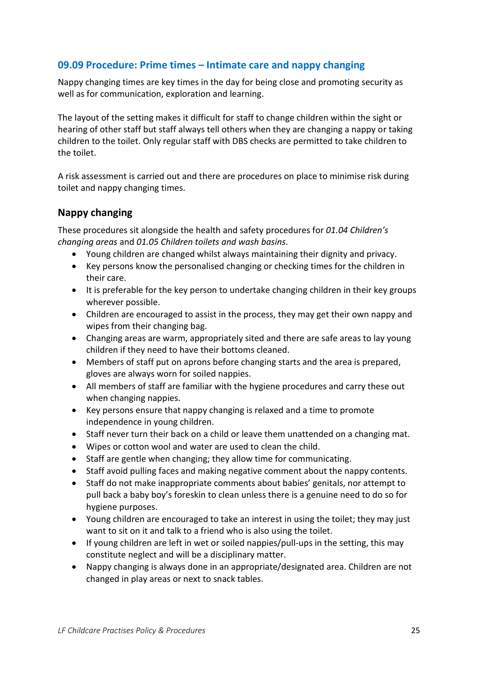### <span id="page-24-0"></span>**09.09 Procedure: Prime times – Intimate care and nappy changing**

Nappy changing times are key times in the day for being close and promoting security as well as for communication, exploration and learning.

The layout of the setting makes it difficult for staff to change children within the sight or hearing of other staff but staff always tell others when they are changing a nappy or taking children to the toilet. Only regular staff with DBS checks are permitted to take children to the toilet.

A risk assessment is carried out and there are procedures on place to minimise risk during toilet and nappy changing times.

### <span id="page-24-1"></span>**Nappy changing**

These procedures sit alongside the health and safety procedures for *01.04 Children's changing areas* and *01.05 Children toilets and wash basins*.

- Young children are changed whilst always maintaining their dignity and privacy.
- Key persons know the personalised changing or checking times for the children in their care.
- It is preferable for the key person to undertake changing children in their key groups wherever possible.
- Children are encouraged to assist in the process, they may get their own nappy and wipes from their changing bag.
- Changing areas are warm, appropriately sited and there are safe areas to lay young children if they need to have their bottoms cleaned.
- Members of staff put on aprons before changing starts and the area is prepared, gloves are always worn for soiled nappies.
- All members of staff are familiar with the hygiene procedures and carry these out when changing nappies.
- Key persons ensure that nappy changing is relaxed and a time to promote independence in young children.
- Staff never turn their back on a child or leave them unattended on a changing mat.
- Wipes or cotton wool and water are used to clean the child.
- Staff are gentle when changing; they allow time for communicating.
- Staff avoid pulling faces and making negative comment about the nappy contents.
- Staff do not make inappropriate comments about babies' genitals, nor attempt to pull back a baby boy's foreskin to clean unless there is a genuine need to do so for hygiene purposes.
- Young children are encouraged to take an interest in using the toilet; they may just want to sit on it and talk to a friend who is also using the toilet.
- If young children are left in wet or soiled nappies/pull-ups in the setting, this may constitute neglect and will be a disciplinary matter.
- Nappy changing is always done in an appropriate/designated area. Children are not changed in play areas or next to snack tables.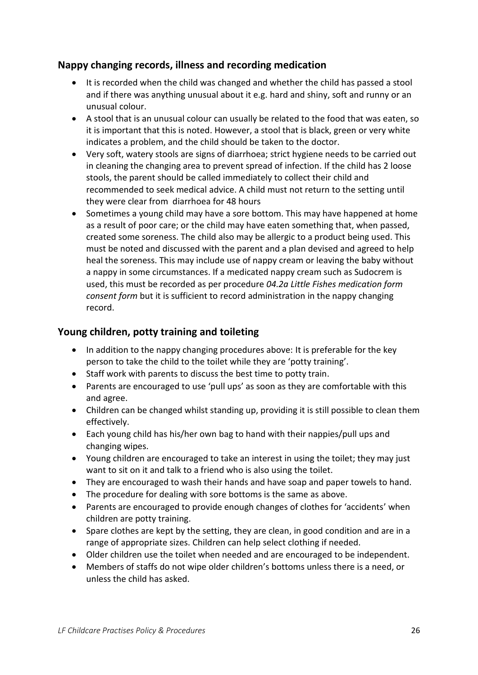### <span id="page-25-0"></span>**Nappy changing records, illness and recording medication**

- It is recorded when the child was changed and whether the child has passed a stool and if there was anything unusual about it e.g. hard and shiny, soft and runny or an unusual colour.
- A stool that is an unusual colour can usually be related to the food that was eaten, so it is important that this is noted. However, a stool that is black, green or very white indicates a problem, and the child should be taken to the doctor.
- Very soft, watery stools are signs of diarrhoea; strict hygiene needs to be carried out in cleaning the changing area to prevent spread of infection. If the child has 2 loose stools, the parent should be called immediately to collect their child and recommended to seek medical advice. A child must not return to the setting until they were clear from diarrhoea for 48 hours
- Sometimes a young child may have a sore bottom. This may have happened at home as a result of poor care; or the child may have eaten something that, when passed, created some soreness. The child also may be allergic to a product being used. This must be noted and discussed with the parent and a plan devised and agreed to help heal the soreness. This may include use of nappy cream or leaving the baby without a nappy in some circumstances. If a medicated nappy cream such as Sudocrem is used, this must be recorded as per procedure *04.2a Little Fishes medication form consent form* but it is sufficient to record administration in the nappy changing record.

### <span id="page-25-1"></span>**Young children, potty training and toileting**

- In addition to the nappy changing procedures above: It is preferable for the key person to take the child to the toilet while they are 'potty training'.
- Staff work with parents to discuss the best time to potty train.
- Parents are encouraged to use 'pull ups' as soon as they are comfortable with this and agree.
- Children can be changed whilst standing up, providing it is still possible to clean them effectively.
- Each young child has his/her own bag to hand with their nappies/pull ups and changing wipes.
- Young children are encouraged to take an interest in using the toilet; they may just want to sit on it and talk to a friend who is also using the toilet.
- They are encouraged to wash their hands and have soap and paper towels to hand.
- The procedure for dealing with sore bottoms is the same as above.
- Parents are encouraged to provide enough changes of clothes for 'accidents' when children are potty training.
- Spare clothes are kept by the setting, they are clean, in good condition and are in a range of appropriate sizes. Children can help select clothing if needed.
- Older children use the toilet when needed and are encouraged to be independent.
- Members of staffs do not wipe older children's bottoms unless there is a need, or unless the child has asked.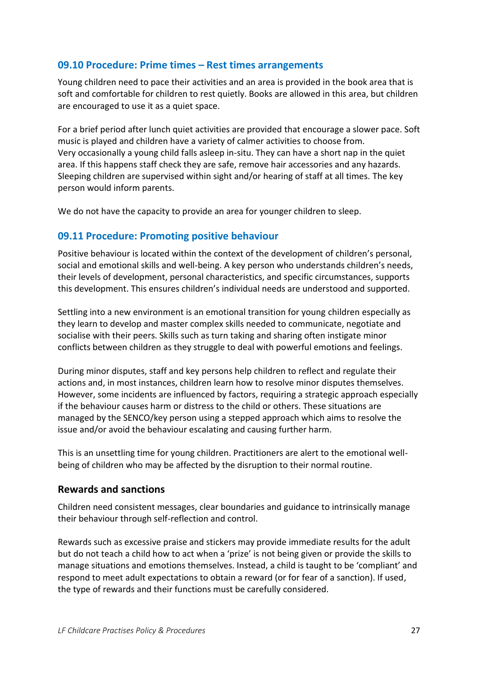### <span id="page-26-0"></span>**09.10 Procedure: Prime times – Rest times arrangements**

Young children need to pace their activities and an area is provided in the book area that is soft and comfortable for children to rest quietly. Books are allowed in this area, but children are encouraged to use it as a quiet space.

For a brief period after lunch quiet activities are provided that encourage a slower pace. Soft music is played and children have a variety of calmer activities to choose from. Very occasionally a young child falls asleep in-situ. They can have a short nap in the quiet area. If this happens staff check they are safe, remove hair accessories and any hazards. Sleeping children are supervised within sight and/or hearing of staff at all times. The key person would inform parents.

We do not have the capacity to provide an area for younger children to sleep.

### <span id="page-26-1"></span>**09.11 Procedure: Promoting positive behaviour**

Positive behaviour is located within the context of the development of children's personal, social and emotional skills and well-being. A key person who understands children's needs, their levels of development, personal characteristics, and specific circumstances, supports this development. This ensures children's individual needs are understood and supported.

Settling into a new environment is an emotional transition for young children especially as they learn to develop and master complex skills needed to communicate, negotiate and socialise with their peers. Skills such as turn taking and sharing often instigate minor conflicts between children as they struggle to deal with powerful emotions and feelings.

During minor disputes, staff and key persons help children to reflect and regulate their actions and, in most instances, children learn how to resolve minor disputes themselves. However, some incidents are influenced by factors, requiring a strategic approach especially if the behaviour causes harm or distress to the child or others. These situations are managed by the SENCO/key person using a stepped approach which aims to resolve the issue and/or avoid the behaviour escalating and causing further harm.

This is an unsettling time for young children. Practitioners are alert to the emotional wellbeing of children who may be affected by the disruption to their normal routine.

### <span id="page-26-2"></span>**Rewards and sanctions**

Children need consistent messages, clear boundaries and guidance to intrinsically manage their behaviour through self-reflection and control.

Rewards such as excessive praise and stickers may provide immediate results for the adult but do not teach a child how to act when a 'prize' is not being given or provide the skills to manage situations and emotions themselves. Instead, a child is taught to be 'compliant' and respond to meet adult expectations to obtain a reward (or for fear of a sanction). If used, the type of rewards and their functions must be carefully considered.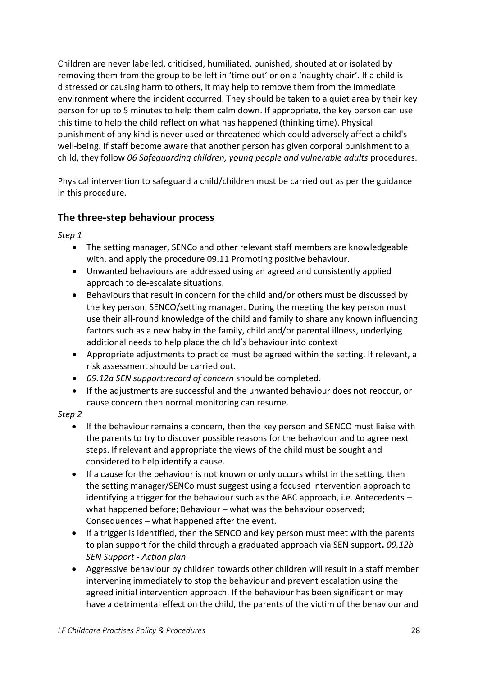Children are never labelled, criticised, humiliated, punished, shouted at or isolated by removing them from the group to be left in 'time out' or on a 'naughty chair'. If a child is distressed or causing harm to others, it may help to remove them from the immediate environment where the incident occurred. They should be taken to a quiet area by their key person for up to 5 minutes to help them calm down. If appropriate, the key person can use this time to help the child reflect on what has happened (thinking time). Physical punishment of any kind is never used or threatened which could adversely affect a child's well-being. If staff become aware that another person has given corporal punishment to a child, they follow *06 Safeguarding children, young people and vulnerable adults* procedures.

Physical intervention to safeguard a child/children must be carried out as per the guidance in this procedure.

### <span id="page-27-0"></span>**The three-step behaviour process**

*Step 1*

- The setting manager, SENCo and other relevant staff members are knowledgeable with, and apply the procedure 09.11 Promoting positive behaviour.
- Unwanted behaviours are addressed using an agreed and consistently applied approach to de-escalate situations.
- Behaviours that result in concern for the child and/or others must be discussed by the key person, SENCO/setting manager. During the meeting the key person must use their all-round knowledge of the child and family to share any known influencing factors such as a new baby in the family, child and/or parental illness, underlying additional needs to help place the child's behaviour into context
- Appropriate adjustments to practice must be agreed within the setting. If relevant, a risk assessment should be carried out.
- *09.12a SEN support:record of concern* should be completed.
- If the adjustments are successful and the unwanted behaviour does not reoccur, or cause concern then normal monitoring can resume.

#### *Step 2*

- If the behaviour remains a concern, then the key person and SENCO must liaise with the parents to try to discover possible reasons for the behaviour and to agree next steps. If relevant and appropriate the views of the child must be sought and considered to help identify a cause.
- If a cause for the behaviour is not known or only occurs whilst in the setting, then the setting manager/SENCo must suggest using a focused intervention approach to identifying a trigger for the behaviour such as the ABC approach, i.e. Antecedents – what happened before; Behaviour – what was the behaviour observed; Consequences – what happened after the event.
- If a trigger is identified, then the SENCO and key person must meet with the parents to plan support for the child through a graduated approach via SEN support**.** *09.12b SEN Support - Action plan*
- Aggressive behaviour by children towards other children will result in a staff member intervening immediately to stop the behaviour and prevent escalation using the agreed initial intervention approach. If the behaviour has been significant or may have a detrimental effect on the child, the parents of the victim of the behaviour and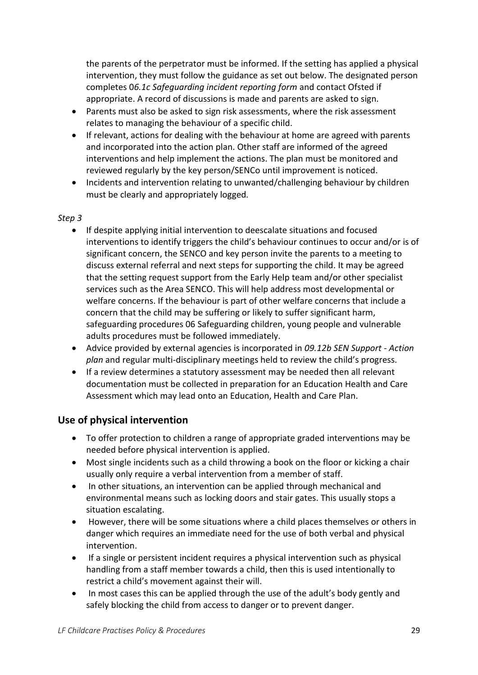the parents of the perpetrator must be informed. If the setting has applied a physical intervention, they must follow the guidance as set out below. The designated person completes 0*6.1c Safeguarding incident reporting form* and contact Ofsted if appropriate. A record of discussions is made and parents are asked to sign.

- Parents must also be asked to sign risk assessments, where the risk assessment relates to managing the behaviour of a specific child.
- If relevant, actions for dealing with the behaviour at home are agreed with parents and incorporated into the action plan. Other staff are informed of the agreed interventions and help implement the actions. The plan must be monitored and reviewed regularly by the key person/SENCo until improvement is noticed.
- Incidents and intervention relating to unwanted/challenging behaviour by children must be clearly and appropriately logged*.*

#### *Step 3*

- If despite applying initial intervention to deescalate situations and focused interventions to identify triggers the child's behaviour continues to occur and/or is of significant concern, the SENCO and key person invite the parents to a meeting to discuss external referral and next steps for supporting the child. It may be agreed that the setting request support from the Early Help team and/or other specialist services such as the Area SENCO. This will help address most developmental or welfare concerns. If the behaviour is part of other welfare concerns that include a concern that the child may be suffering or likely to suffer significant harm, safeguarding procedures 06 Safeguarding children, young people and vulnerable adults procedures must be followed immediately.
- Advice provided by external agencies is incorporated in *09.12b SEN Support - Action plan* and regular multi-disciplinary meetings held to review the child's progress.
- If a review determines a statutory assessment may be needed then all relevant documentation must be collected in preparation for an Education Health and Care Assessment which may lead onto an Education, Health and Care Plan.

## <span id="page-28-0"></span>**Use of physical intervention**

- To offer protection to children a range of appropriate graded interventions may be needed before physical intervention is applied.
- Most single incidents such as a child throwing a book on the floor or kicking a chair usually only require a verbal intervention from a member of staff.
- In other situations, an intervention can be applied through mechanical and environmental means such as locking doors and stair gates. This usually stops a situation escalating.
- However, there will be some situations where a child places themselves or others in danger which requires an immediate need for the use of both verbal and physical intervention.
- If a single or persistent incident requires a physical intervention such as physical handling from a staff member towards a child, then this is used intentionally to restrict a child's movement against their will.
- In most cases this can be applied through the use of the adult's body gently and safely blocking the child from access to danger or to prevent danger.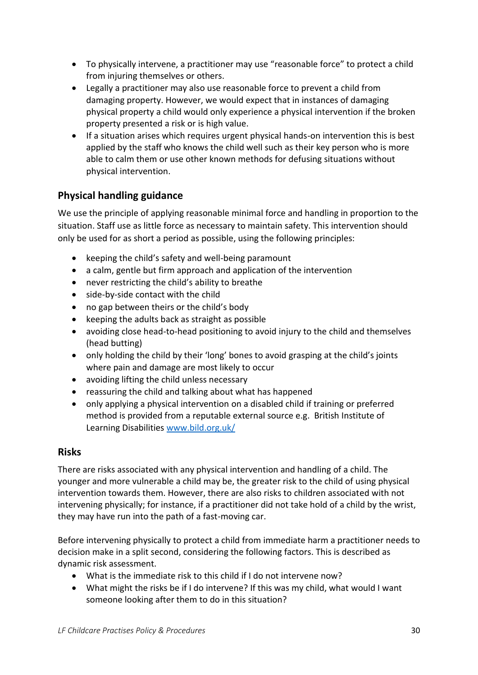- To physically intervene, a practitioner may use "reasonable force" to protect a child from injuring themselves or others.
- Legally a practitioner may also use reasonable force to prevent a child from damaging property. However, we would expect that in instances of damaging physical property a child would only experience a physical intervention if the broken property presented a risk or is high value.
- If a situation arises which requires urgent physical hands-on intervention this is best applied by the staff who knows the child well such as their key person who is more able to calm them or use other known methods for defusing situations without physical intervention.

## <span id="page-29-0"></span>**Physical handling guidance**

We use the principle of applying reasonable minimal force and handling in proportion to the situation. Staff use as little force as necessary to maintain safety. This intervention should only be used for as short a period as possible, using the following principles:

- keeping the child's safety and well-being paramount
- a calm, gentle but firm approach and application of the intervention
- never restricting the child's ability to breathe
- side-by-side contact with the child
- no gap between theirs or the child's body
- keeping the adults back as straight as possible
- avoiding close head-to-head positioning to avoid injury to the child and themselves (head butting)
- only holding the child by their 'long' bones to avoid grasping at the child's joints where pain and damage are most likely to occur
- avoiding lifting the child unless necessary
- reassuring the child and talking about what has happened
- only applying a physical intervention on a disabled child if training or preferred method is provided from a reputable external source e.g. British Institute of Learning Disabilities [www.bild.org.uk/](http://www.bild.org.uk/)

### <span id="page-29-1"></span>**Risks**

There are risks associated with any physical intervention and handling of a child. The younger and more vulnerable a child may be, the greater risk to the child of using physical intervention towards them. However, there are also risks to children associated with not intervening physically; for instance, if a practitioner did not take hold of a child by the wrist, they may have run into the path of a fast-moving car.

Before intervening physically to protect a child from immediate harm a practitioner needs to decision make in a split second, considering the following factors. This is described as dynamic risk assessment.

- What is the immediate risk to this child if I do not intervene now?
- What might the risks be if I do intervene? If this was my child, what would I want someone looking after them to do in this situation?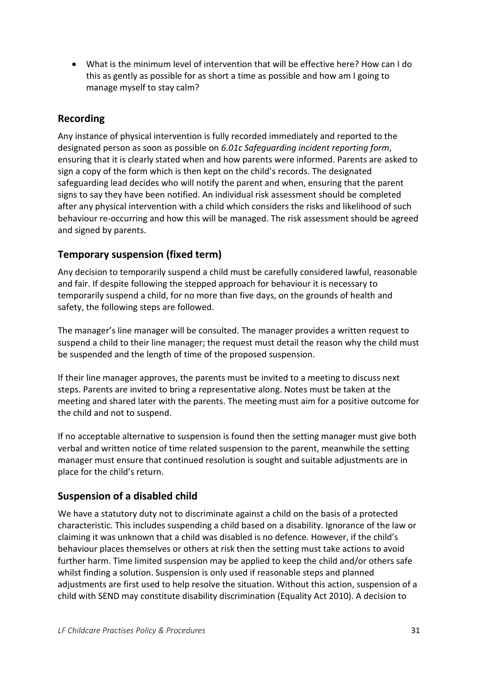• What is the minimum level of intervention that will be effective here? How can I do this as gently as possible for as short a time as possible and how am I going to manage myself to stay calm?

## <span id="page-30-0"></span>**Recording**

Any instance of physical intervention is fully recorded immediately and reported to the designated person as soon as possible on *6.01c Safeguarding incident reporting form*, ensuring that it is clearly stated when and how parents were informed. Parents are asked to sign a copy of the form which is then kept on the child's records. The designated safeguarding lead decides who will notify the parent and when, ensuring that the parent signs to say they have been notified. An individual risk assessment should be completed after any physical intervention with a child which considers the risks and likelihood of such behaviour re-occurring and how this will be managed. The risk assessment should be agreed and signed by parents.

## <span id="page-30-1"></span>**Temporary suspension (fixed term)**

Any decision to temporarily suspend a child must be carefully considered lawful, reasonable and fair. If despite following the stepped approach for behaviour it is necessary to temporarily suspend a child, for no more than five days, on the grounds of health and safety, the following steps are followed.

The manager's line manager will be consulted. The manager provides a written request to suspend a child to their line manager; the request must detail the reason why the child must be suspended and the length of time of the proposed suspension.

If their line manager approves, the parents must be invited to a meeting to discuss next steps. Parents are invited to bring a representative along. Notes must be taken at the meeting and shared later with the parents. The meeting must aim for a positive outcome for the child and not to suspend.

If no acceptable alternative to suspension is found then the setting manager must give both verbal and written notice of time related suspension to the parent, meanwhile the setting manager must ensure that continued resolution is sought and suitable adjustments are in place for the child's return.

## <span id="page-30-2"></span>**Suspension of a disabled child**

We have a statutory duty not to discriminate against a child on the basis of a protected characteristic. This includes suspending a child based on a disability. Ignorance of the law or claiming it was unknown that a child was disabled is no defence. However, if the child's behaviour places themselves or others at risk then the setting must take actions to avoid further harm. Time limited suspension may be applied to keep the child and/or others safe whilst finding a solution. Suspension is only used if reasonable steps and planned adjustments are first used to help resolve the situation. Without this action, suspension of a child with SEND may constitute disability discrimination (Equality Act 2010). A decision to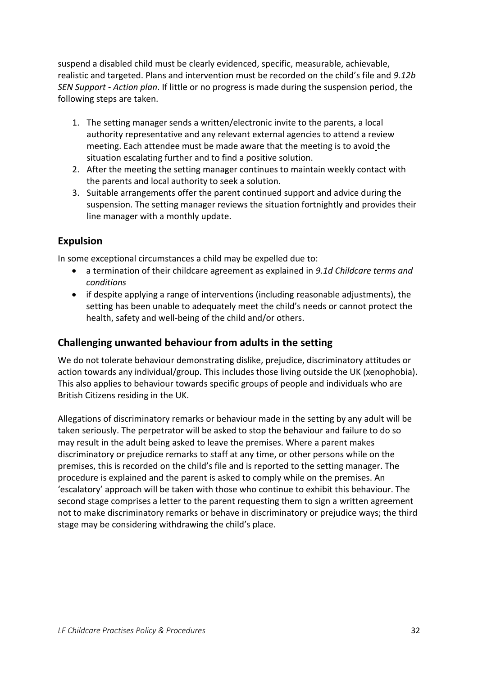suspend a disabled child must be clearly evidenced, specific, measurable, achievable, realistic and targeted. Plans and intervention must be recorded on the child's file and *9.12b SEN Support - Action plan*. If little or no progress is made during the suspension period, the following steps are taken.

- 1. The setting manager sends a written/electronic invite to the parents, a local authority representative and any relevant external agencies to attend a review meeting. Each attendee must be made aware that the meeting is to avoid the situation escalating further and to find a positive solution.
- 2. After the meeting the setting manager continues to maintain weekly contact with the parents and local authority to seek a solution.
- 3. Suitable arrangements offer the parent continued support and advice during the suspension. The setting manager reviews the situation fortnightly and provides their line manager with a monthly update.

## <span id="page-31-0"></span>**Expulsion**

In some exceptional circumstances a child may be expelled due to:

- a termination of their childcare agreement as explained in *9.1d Childcare terms and conditions*
- if despite applying a range of interventions (including reasonable adjustments), the setting has been unable to adequately meet the child's needs or cannot protect the health, safety and well-being of the child and/or others.

## <span id="page-31-1"></span>**Challenging unwanted behaviour from adults in the setting**

We do not tolerate behaviour demonstrating dislike, prejudice, discriminatory attitudes or action towards any individual/group. This includes those living outside the UK (xenophobia). This also applies to behaviour towards specific groups of people and individuals who are British Citizens residing in the UK.

Allegations of discriminatory remarks or behaviour made in the setting by any adult will be taken seriously. The perpetrator will be asked to stop the behaviour and failure to do so may result in the adult being asked to leave the premises. Where a parent makes discriminatory or prejudice remarks to staff at any time, or other persons while on the premises, this is recorded on the child's file and is reported to the setting manager. The procedure is explained and the parent is asked to comply while on the premises. An 'escalatory' approach will be taken with those who continue to exhibit this behaviour. The second stage comprises a letter to the parent requesting them to sign a written agreement not to make discriminatory remarks or behave in discriminatory or prejudice ways; the third stage may be considering withdrawing the child's place.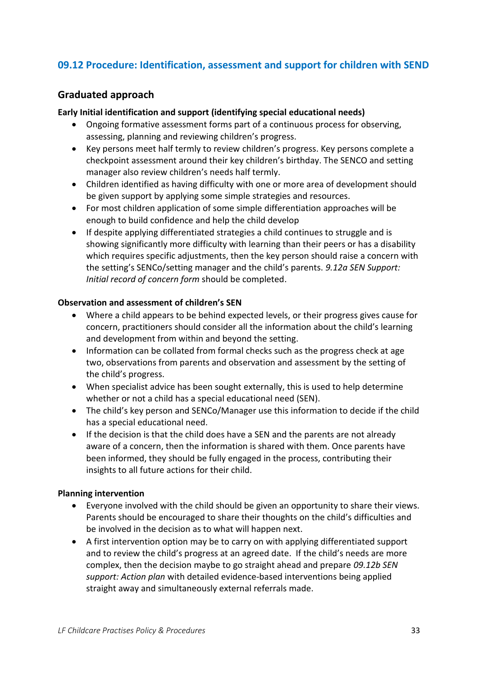## <span id="page-32-0"></span>**09.12 Procedure: Identification, assessment and support for children with SEND**

### <span id="page-32-1"></span>**Graduated approach**

#### **Early Initial identification and support (identifying special educational needs)**

- Ongoing formative assessment forms part of a continuous process for observing, assessing, planning and reviewing children's progress.
- Key persons meet half termly to review children's progress. Key persons complete a checkpoint assessment around their key children's birthday. The SENCO and setting manager also review children's needs half termly.
- Children identified as having difficulty with one or more area of development should be given support by applying some simple strategies and resources.
- For most children application of some simple differentiation approaches will be enough to build confidence and help the child develop
- If despite applying differentiated strategies a child continues to struggle and is showing significantly more difficulty with learning than their peers or has a disability which requires specific adjustments, then the key person should raise a concern with the setting's SENCo/setting manager and the child's parents. *9.12a SEN Support: Initial record of concern form* should be completed.

#### **Observation and assessment of children's SEN**

- Where a child appears to be behind expected levels, or their progress gives cause for concern, practitioners should consider all the information about the child's learning and development from within and beyond the setting.
- Information can be collated from formal checks such as the progress check at age two, observations from parents and observation and assessment by the setting of the child's progress.
- When specialist advice has been sought externally, this is used to help determine whether or not a child has a special educational need (SEN).
- The child's key person and SENCo/Manager use this information to decide if the child has a special educational need.
- If the decision is that the child does have a SEN and the parents are not already aware of a concern, then the information is shared with them. Once parents have been informed, they should be fully engaged in the process, contributing their insights to all future actions for their child.

#### **Planning intervention**

- Everyone involved with the child should be given an opportunity to share their views. Parents should be encouraged to share their thoughts on the child's difficulties and be involved in the decision as to what will happen next.
- A first intervention option may be to carry on with applying differentiated support and to review the child's progress at an agreed date. If the child's needs are more complex, then the decision maybe to go straight ahead and prepare *09.12b SEN support: Action plan* with detailed evidence-based interventions being applied straight away and simultaneously external referrals made.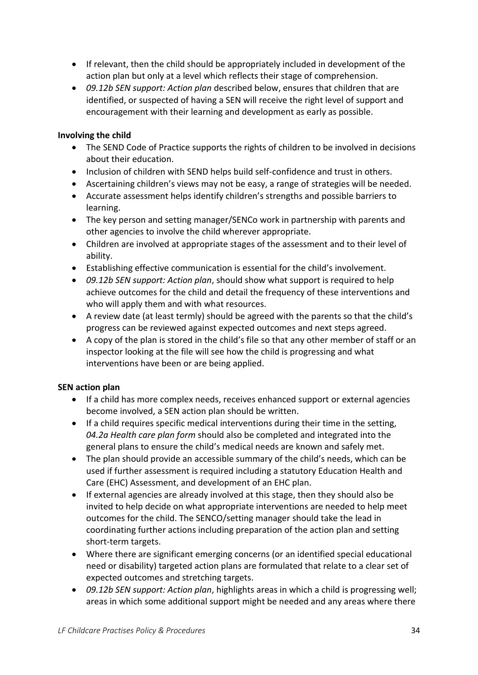- If relevant, then the child should be appropriately included in development of the action plan but only at a level which reflects their stage of comprehension.
- *09.12b SEN support: Action plan* described below, ensures that children that are identified, or suspected of having a SEN will receive the right level of support and encouragement with their learning and development as early as possible.

### **Involving the child**

- The SEND Code of Practice supports the rights of children to be involved in decisions about their education.
- Inclusion of children with SEND helps build self-confidence and trust in others.
- Ascertaining children's views may not be easy, a range of strategies will be needed.
- Accurate assessment helps identify children's strengths and possible barriers to learning.
- The key person and setting manager/SENCo work in partnership with parents and other agencies to involve the child wherever appropriate.
- Children are involved at appropriate stages of the assessment and to their level of ability.
- Establishing effective communication is essential for the child's involvement.
- *09.12b SEN support: Action plan*, should show what support is required to help achieve outcomes for the child and detail the frequency of these interventions and who will apply them and with what resources.
- A review date (at least termly) should be agreed with the parents so that the child's progress can be reviewed against expected outcomes and next steps agreed.
- A copy of the plan is stored in the child's file so that any other member of staff or an inspector looking at the file will see how the child is progressing and what interventions have been or are being applied.

#### **SEN action plan**

- If a child has more complex needs, receives enhanced support or external agencies become involved, a SEN action plan should be written.
- If a child requires specific medical interventions during their time in the setting, *04.2a Health care plan form* should also be completed and integrated into the general plans to ensure the child's medical needs are known and safely met.
- The plan should provide an accessible summary of the child's needs, which can be used if further assessment is required including a statutory Education Health and Care (EHC) Assessment, and development of an EHC plan.
- If external agencies are already involved at this stage, then they should also be invited to help decide on what appropriate interventions are needed to help meet outcomes for the child. The SENCO/setting manager should take the lead in coordinating further actions including preparation of the action plan and setting short-term targets.
- Where there are significant emerging concerns (or an identified special educational need or disability) targeted action plans are formulated that relate to a clear set of expected outcomes and stretching targets.
- *09.12b SEN support: Action plan*, highlights areas in which a child is progressing well; areas in which some additional support might be needed and any areas where there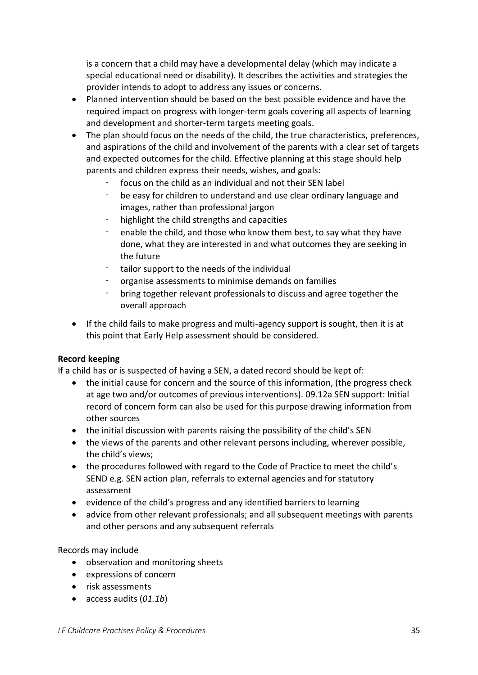is a concern that a child may have a developmental delay (which may indicate a special educational need or disability). It describes the activities and strategies the provider intends to adopt to address any issues or concerns.

- Planned intervention should be based on the best possible evidence and have the required impact on progress with longer-term goals covering all aspects of learning and development and shorter-term targets meeting goals.
- The plan should focus on the needs of the child, the true characteristics, preferences, and aspirations of the child and involvement of the parents with a clear set of targets and expected outcomes for the child. Effective planning at this stage should help parents and children express their needs, wishes, and goals:
	- focus on the child as an individual and not their SEN label
	- be easy for children to understand and use clear ordinary language and images, rather than professional jargon
	- highlight the child strengths and capacities
	- enable the child, and those who know them best, to say what they have done, what they are interested in and what outcomes they are seeking in the future
	- tailor support to the needs of the individual
	- organise assessments to minimise demands on families
	- bring together relevant professionals to discuss and agree together the overall approach
- If the child fails to make progress and multi-agency support is sought, then it is at this point that Early Help assessment should be considered.

#### **Record keeping**

If a child has or is suspected of having a SEN, a dated record should be kept of:

- the initial cause for concern and the source of this information, (the progress check at age two and/or outcomes of previous interventions). 09.12a SEN support: Initial record of concern form can also be used for this purpose drawing information from other sources
- the initial discussion with parents raising the possibility of the child's SEN
- the views of the parents and other relevant persons including, wherever possible, the child's views;
- the procedures followed with regard to the Code of Practice to meet the child's SEND e.g. SEN action plan, referrals to external agencies and for statutory assessment
- evidence of the child's progress and any identified barriers to learning
- advice from other relevant professionals; and all subsequent meetings with parents and other persons and any subsequent referrals

Records may include

- observation and monitoring sheets
- expressions of concern
- risk assessments
- access audits (*01.1b*)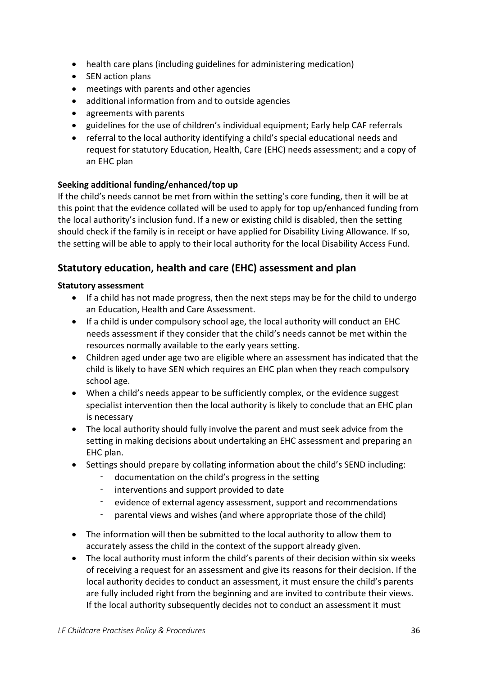- health care plans (including guidelines for administering medication)
- SEN action plans
- meetings with parents and other agencies
- additional information from and to outside agencies
- agreements with parents
- guidelines for the use of children's individual equipment; Early help CAF referrals
- referral to the local authority identifying a child's special educational needs and request for statutory Education, Health, Care (EHC) needs assessment; and a copy of an EHC plan

#### **Seeking additional funding/enhanced/top up**

If the child's needs cannot be met from within the setting's core funding, then it will be at this point that the evidence collated will be used to apply for top up/enhanced funding from the local authority's inclusion fund. If a new or existing child is disabled, then the setting should check if the family is in receipt or have applied for Disability Living Allowance. If so, the setting will be able to apply to their local authority for the local Disability Access Fund.

### <span id="page-35-0"></span>**Statutory education, health and care (EHC) assessment and plan**

#### **Statutory assessment**

- If a child has not made progress, then the next steps may be for the child to undergo an Education, Health and Care Assessment.
- If a child is under compulsory school age, the local authority will conduct an EHC needs assessment if they consider that the child's needs cannot be met within the resources normally available to the early years setting.
- Children aged under age two are eligible where an assessment has indicated that the child is likely to have SEN which requires an EHC plan when they reach compulsory school age.
- When a child's needs appear to be sufficiently complex, or the evidence suggest specialist intervention then the local authority is likely to conclude that an EHC plan is necessary
- The local authority should fully involve the parent and must seek advice from the setting in making decisions about undertaking an EHC assessment and preparing an EHC plan.
- Settings should prepare by collating information about the child's SEND including:
	- documentation on the child's progress in the setting
	- interventions and support provided to date
	- evidence of external agency assessment, support and recommendations
	- parental views and wishes (and where appropriate those of the child)
- The information will then be submitted to the local authority to allow them to accurately assess the child in the context of the support already given.
- The local authority must inform the child's parents of their decision within six weeks of receiving a request for an assessment and give its reasons for their decision. If the local authority decides to conduct an assessment, it must ensure the child's parents are fully included right from the beginning and are invited to contribute their views. If the local authority subsequently decides not to conduct an assessment it must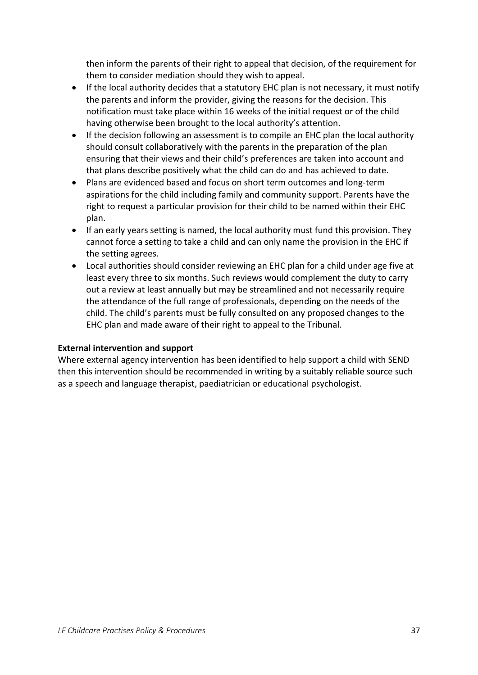then inform the parents of their right to appeal that decision, of the requirement for them to consider mediation should they wish to appeal.

- If the local authority decides that a statutory EHC plan is not necessary, it must notify the parents and inform the provider, giving the reasons for the decision. This notification must take place within 16 weeks of the initial request or of the child having otherwise been brought to the local authority's attention.
- If the decision following an assessment is to compile an EHC plan the local authority should consult collaboratively with the parents in the preparation of the plan ensuring that their views and their child's preferences are taken into account and that plans describe positively what the child can do and has achieved to date.
- Plans are evidenced based and focus on short term outcomes and long-term aspirations for the child including family and community support. Parents have the right to request a particular provision for their child to be named within their EHC plan.
- If an early years setting is named, the local authority must fund this provision. They cannot force a setting to take a child and can only name the provision in the EHC if the setting agrees.
- Local authorities should consider reviewing an EHC plan for a child under age five at least every three to six months. Such reviews would complement the duty to carry out a review at least annually but may be streamlined and not necessarily require the attendance of the full range of professionals, depending on the needs of the child. The child's parents must be fully consulted on any proposed changes to the EHC plan and made aware of their right to appeal to the Tribunal.

#### **External intervention and support**

Where external agency intervention has been identified to help support a child with SEND then this intervention should be recommended in writing by a suitably reliable source such as a speech and language therapist, paediatrician or educational psychologist.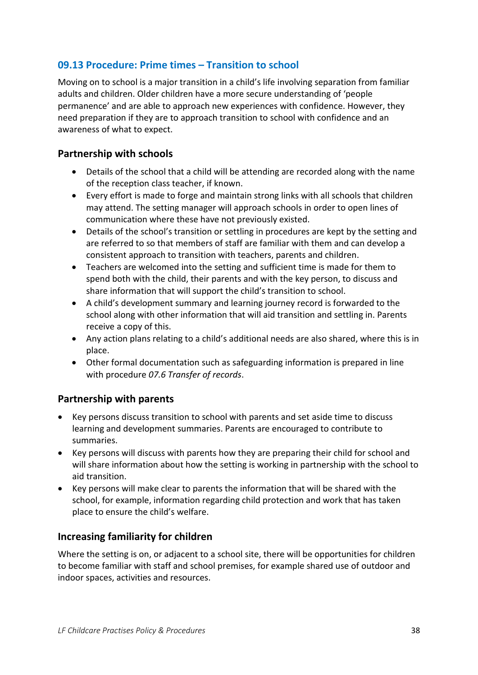## <span id="page-37-0"></span>**09.13 Procedure: Prime times – Transition to school**

Moving on to school is a major transition in a child's life involving separation from familiar adults and children. Older children have a more secure understanding of 'people permanence' and are able to approach new experiences with confidence. However, they need preparation if they are to approach transition to school with confidence and an awareness of what to expect.

### <span id="page-37-1"></span>**Partnership with schools**

- Details of the school that a child will be attending are recorded along with the name of the reception class teacher, if known.
- Every effort is made to forge and maintain strong links with all schools that children may attend. The setting manager will approach schools in order to open lines of communication where these have not previously existed.
- Details of the school's transition or settling in procedures are kept by the setting and are referred to so that members of staff are familiar with them and can develop a consistent approach to transition with teachers, parents and children.
- Teachers are welcomed into the setting and sufficient time is made for them to spend both with the child, their parents and with the key person, to discuss and share information that will support the child's transition to school.
- A child's development summary and learning journey record is forwarded to the school along with other information that will aid transition and settling in. Parents receive a copy of this.
- Any action plans relating to a child's additional needs are also shared, where this is in place.
- Other formal documentation such as safeguarding information is prepared in line with procedure *07.6 Transfer of records*.

### <span id="page-37-2"></span>**Partnership with parents**

- Key persons discuss transition to school with parents and set aside time to discuss learning and development summaries. Parents are encouraged to contribute to summaries.
- Key persons will discuss with parents how they are preparing their child for school and will share information about how the setting is working in partnership with the school to aid transition.
- Key persons will make clear to parents the information that will be shared with the school, for example, information regarding child protection and work that has taken place to ensure the child's welfare.

## <span id="page-37-3"></span>**Increasing familiarity for children**

Where the setting is on, or adjacent to a school site, there will be opportunities for children to become familiar with staff and school premises, for example shared use of outdoor and indoor spaces, activities and resources.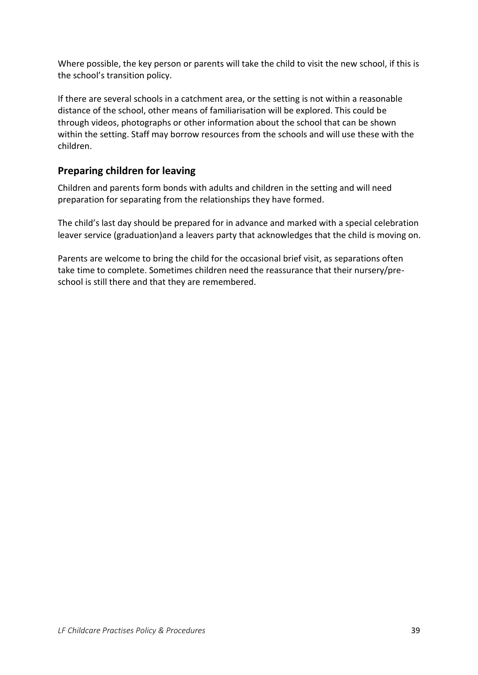Where possible, the key person or parents will take the child to visit the new school, if this is the school's transition policy.

If there are several schools in a catchment area, or the setting is not within a reasonable distance of the school, other means of familiarisation will be explored. This could be through videos, photographs or other information about the school that can be shown within the setting. Staff may borrow resources from the schools and will use these with the children.

## <span id="page-38-0"></span>**Preparing children for leaving**

Children and parents form bonds with adults and children in the setting and will need preparation for separating from the relationships they have formed.

The child's last day should be prepared for in advance and marked with a special celebration leaver service (graduation)and a leavers party that acknowledges that the child is moving on.

Parents are welcome to bring the child for the occasional brief visit, as separations often take time to complete. Sometimes children need the reassurance that their nursery/preschool is still there and that they are remembered.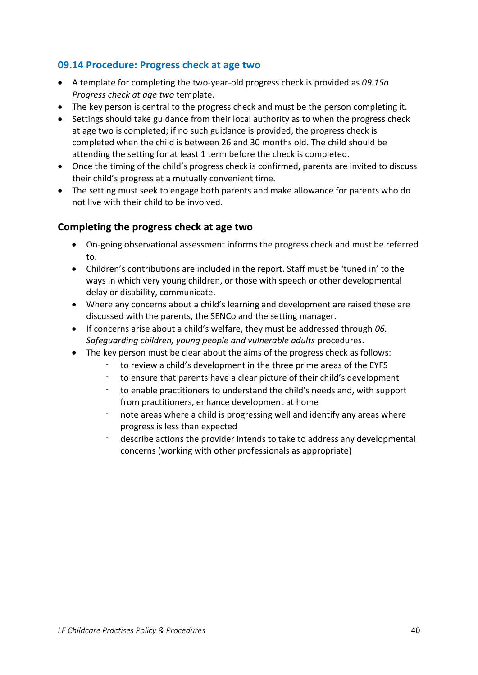## <span id="page-39-0"></span>**09.14 Procedure: Progress check at age two**

- A template for completing the two-year-old progress check is provided as *09.15a Progress check at age two* template.
- The key person is central to the progress check and must be the person completing it.
- Settings should take guidance from their local authority as to when the progress check at age two is completed; if no such guidance is provided, the progress check is completed when the child is between 26 and 30 months old. The child should be attending the setting for at least 1 term before the check is completed.
- Once the timing of the child's progress check is confirmed, parents are invited to discuss their child's progress at a mutually convenient time.
- The setting must seek to engage both parents and make allowance for parents who do not live with their child to be involved.

### <span id="page-39-1"></span>**Completing the progress check at age two**

- On-going observational assessment informs the progress check and must be referred to.
- Children's contributions are included in the report. Staff must be 'tuned in' to the ways in which very young children, or those with speech or other developmental delay or disability, communicate.
- Where any concerns about a child's learning and development are raised these are discussed with the parents, the SENCo and the setting manager.
- If concerns arise about a child's welfare, they must be addressed through *06. Safeguarding children, young people and vulnerable adults* procedures.
- The key person must be clear about the aims of the progress check as follows:
	- to review a child's development in the three prime areas of the EYFS
	- to ensure that parents have a clear picture of their child's development
	- to enable practitioners to understand the child's needs and, with support from practitioners, enhance development at home
	- note areas where a child is progressing well and identify any areas where progress is less than expected
	- describe actions the provider intends to take to address any developmental concerns (working with other professionals as appropriate)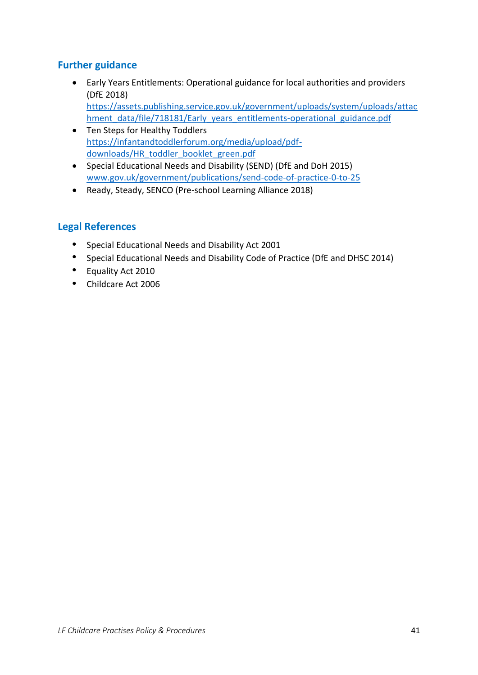## <span id="page-40-0"></span>**Further guidance**

- Early Years Entitlements: Operational guidance for local authorities and providers (DfE 2018) [https://assets.publishing.service.gov.uk/government/uploads/system/uploads/attac](https://assets.publishing.service.gov.uk/government/uploads/system/uploads/attachment_data/file/718181/Early_years_entitlements-operational_guidance.pdf) [hment\\_data/file/718181/Early\\_years\\_entitlements-operational\\_guidance.pdf](https://assets.publishing.service.gov.uk/government/uploads/system/uploads/attachment_data/file/718181/Early_years_entitlements-operational_guidance.pdf)
- Ten Steps for Healthy Toddlers [https://infantandtoddlerforum.org/media/upload/pdf](https://infantandtoddlerforum.org/media/upload/pdf-downloads/HR_toddler_booklet_green.pdf)[downloads/HR\\_toddler\\_booklet\\_green.pdf](https://infantandtoddlerforum.org/media/upload/pdf-downloads/HR_toddler_booklet_green.pdf)
- Special Educational Needs and Disability (SEND) (DfE and DoH 2015) [www.gov.uk/government/publications/send-code-of-practice-0-to-25](http://www.gov.uk/government/publications/send-code-of-practice-0-to-25)
- Ready, Steady, SENCO (Pre-school Learning Alliance 2018)

## <span id="page-40-1"></span>**Legal References**

- Special Educational Needs and Disability Act 2001
- Special Educational Needs and Disability Code of Practice (DfE and DHSC 2014)
- Equality Act 2010
- Childcare Act 2006